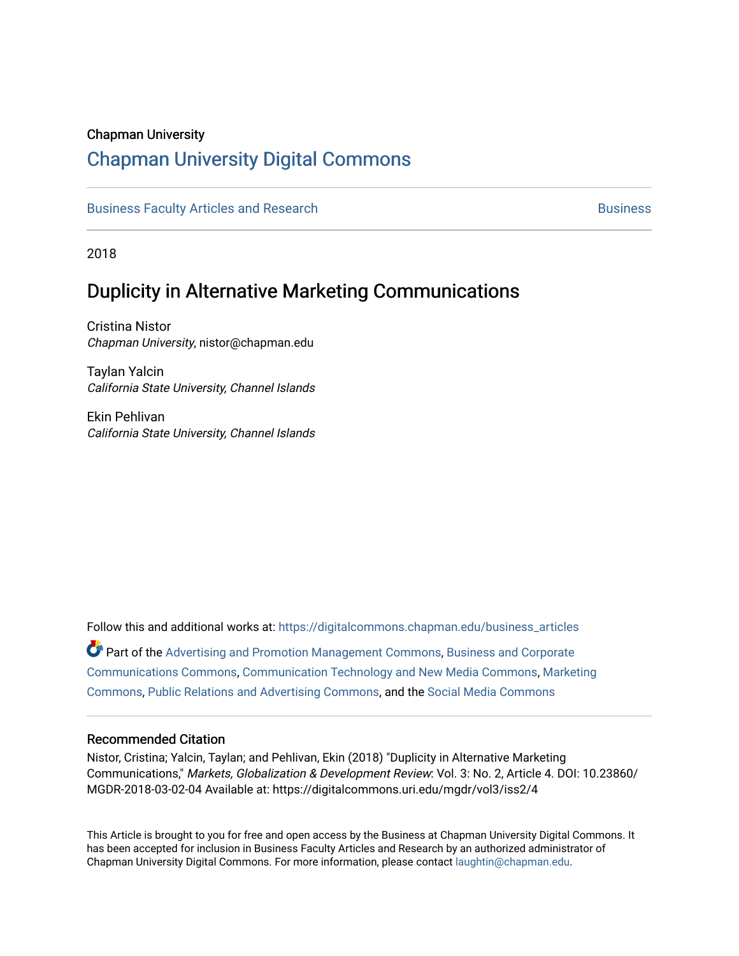#### Chapman University

# [Chapman University Digital Commons](https://digitalcommons.chapman.edu/)

[Business Faculty Articles and Research](https://digitalcommons.chapman.edu/business_articles) [Business](https://digitalcommons.chapman.edu/business) **Business** Business

2018

# Duplicity in Alternative Marketing Communications

Cristina Nistor Chapman University, nistor@chapman.edu

Taylan Yalcin California State University, Channel Islands

Ekin Pehlivan California State University, Channel Islands

Follow this and additional works at: [https://digitalcommons.chapman.edu/business\\_articles](https://digitalcommons.chapman.edu/business_articles?utm_source=digitalcommons.chapman.edu%2Fbusiness_articles%2F68&utm_medium=PDF&utm_campaign=PDFCoverPages)  Part of the [Advertising and Promotion Management Commons,](http://network.bepress.com/hgg/discipline/626?utm_source=digitalcommons.chapman.edu%2Fbusiness_articles%2F68&utm_medium=PDF&utm_campaign=PDFCoverPages) [Business and Corporate](http://network.bepress.com/hgg/discipline/627?utm_source=digitalcommons.chapman.edu%2Fbusiness_articles%2F68&utm_medium=PDF&utm_campaign=PDFCoverPages) [Communications Commons,](http://network.bepress.com/hgg/discipline/627?utm_source=digitalcommons.chapman.edu%2Fbusiness_articles%2F68&utm_medium=PDF&utm_campaign=PDFCoverPages) [Communication Technology and New Media Commons,](http://network.bepress.com/hgg/discipline/327?utm_source=digitalcommons.chapman.edu%2Fbusiness_articles%2F68&utm_medium=PDF&utm_campaign=PDFCoverPages) [Marketing](http://network.bepress.com/hgg/discipline/638?utm_source=digitalcommons.chapman.edu%2Fbusiness_articles%2F68&utm_medium=PDF&utm_campaign=PDFCoverPages)  [Commons](http://network.bepress.com/hgg/discipline/638?utm_source=digitalcommons.chapman.edu%2Fbusiness_articles%2F68&utm_medium=PDF&utm_campaign=PDFCoverPages), [Public Relations and Advertising Commons](http://network.bepress.com/hgg/discipline/336?utm_source=digitalcommons.chapman.edu%2Fbusiness_articles%2F68&utm_medium=PDF&utm_campaign=PDFCoverPages), and the [Social Media Commons](http://network.bepress.com/hgg/discipline/1249?utm_source=digitalcommons.chapman.edu%2Fbusiness_articles%2F68&utm_medium=PDF&utm_campaign=PDFCoverPages)

#### Recommended Citation

Nistor, Cristina; Yalcin, Taylan; and Pehlivan, Ekin (2018) "Duplicity in Alternative Marketing Communications," Markets, Globalization & Development Review: Vol. 3: No. 2, Article 4. DOI: 10.23860/ MGDR-2018-03-02-04 Available at: https://digitalcommons.uri.edu/mgdr/vol3/iss2/4

This Article is brought to you for free and open access by the Business at Chapman University Digital Commons. It has been accepted for inclusion in Business Faculty Articles and Research by an authorized administrator of Chapman University Digital Commons. For more information, please contact [laughtin@chapman.edu](mailto:laughtin@chapman.edu).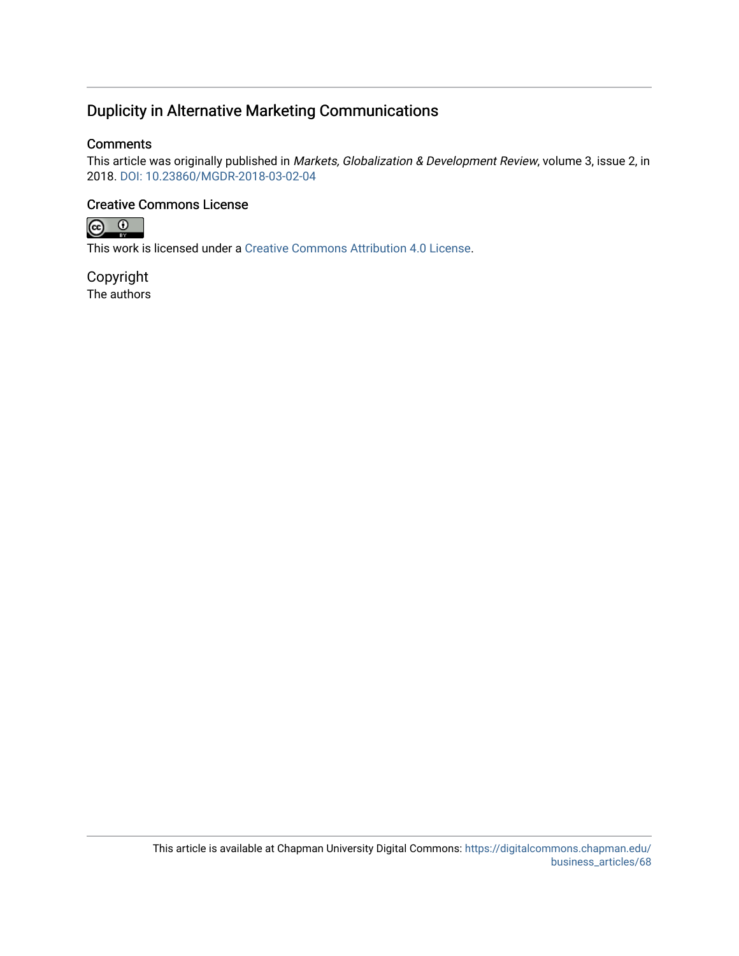# Duplicity in Alternative Marketing Communications

#### **Comments**

This article was originally published in Markets, Globalization & Development Review, volume 3, issue 2, in 2018. [DOI: 10.23860/MGDR-2018-03-02-04](https://doi.org/10.23860/MGDR-2018-03-02-04) 

#### Creative Commons License



This work is licensed under a [Creative Commons Attribution 4.0 License](https://creativecommons.org/licenses/by/4.0/).

Copyright The authors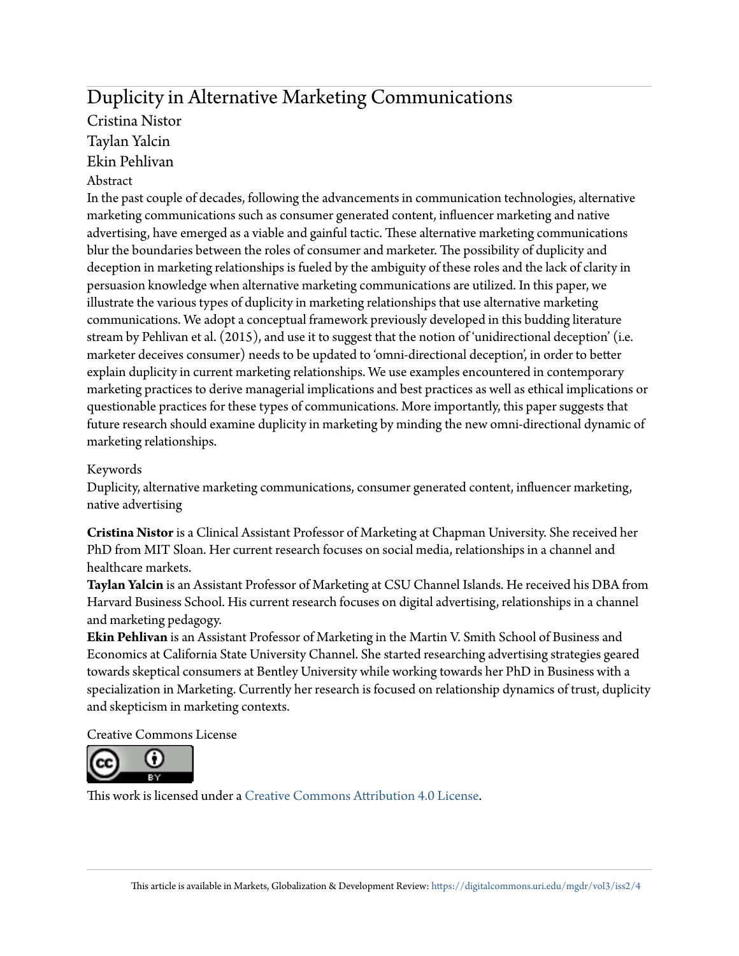# Duplicity in Alternative Marketing Communications Cristina Nistor

Taylan Yalcin

Ekin Pehlivan

## Abstract

In the past couple of decades, following the advancements in communication technologies, alternative marketing communications such as consumer generated content, influencer marketing and native advertising, have emerged as a viable and gainful tactic. These alternative marketing communications blur the boundaries between the roles of consumer and marketer. The possibility of duplicity and deception in marketing relationships is fueled by the ambiguity of these roles and the lack of clarity in persuasion knowledge when alternative marketing communications are utilized. In this paper, we illustrate the various types of duplicity in marketing relationships that use alternative marketing communications. We adopt a conceptual framework previously developed in this budding literature stream by Pehlivan et al. (2015), and use it to suggest that the notion of 'unidirectional deception' (i.e. marketer deceives consumer) needs to be updated to 'omni-directional deception', in order to better explain duplicity in current marketing relationships. We use examples encountered in contemporary marketing practices to derive managerial implications and best practices as well as ethical implications or questionable practices for these types of communications. More importantly, this paper suggests that future research should examine duplicity in marketing by minding the new omni-directional dynamic of marketing relationships.

## Keywords

Duplicity, alternative marketing communications, consumer generated content, influencer marketing, native advertising

**Cristina Nistor** is a Clinical Assistant Professor of Marketing at Chapman University. She received her PhD from MIT Sloan. Her current research focuses on social media, relationships in a channel and healthcare markets.

**Taylan Yalcin** is an Assistant Professor of Marketing at CSU Channel Islands. He received his DBA from Harvard Business School. His current research focuses on digital advertising, relationships in a channel and marketing pedagogy.

**Ekin Pehlivan** is an Assistant Professor of Marketing in the Martin V. Smith School of Business and Economics at California State University Channel. She started researching advertising strategies geared towards skeptical consumers at Bentley University while working towards her PhD in Business with a specialization in Marketing. Currently her research is focused on relationship dynamics of trust, duplicity and skepticism in marketing contexts.

Creative Commons License



This work is licensed under a [Creative Commons Attribution 4.0 License.](https://creativecommons.org/licenses/by/4.0/)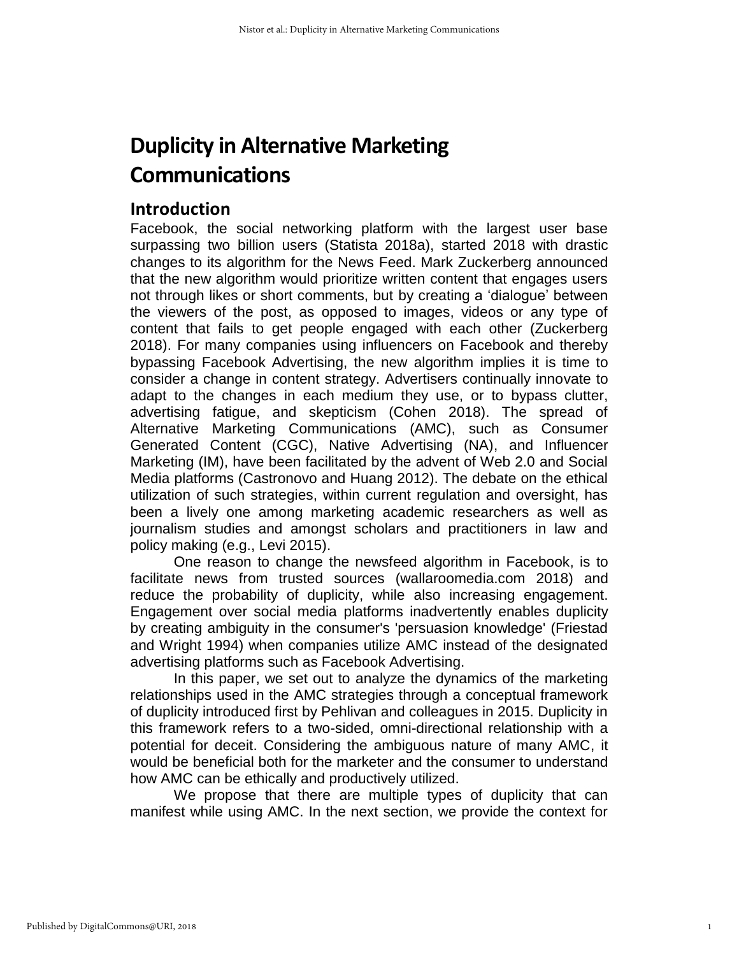# **Duplicity in Alternative Marketing Communications**

# **Introduction**

Facebook, the social networking platform with the largest user base surpassing two billion users (Statista 2018a), started 2018 with drastic changes to its algorithm for the News Feed. Mark Zuckerberg announced that the new algorithm would prioritize written content that engages users not through likes or short comments, but by creating a 'dialogue' between the viewers of the post, as opposed to images, videos or any type of content that fails to get people engaged with each other (Zuckerberg 2018). For many companies using influencers on Facebook and thereby bypassing Facebook Advertising, the new algorithm implies it is time to consider a change in content strategy. Advertisers continually innovate to adapt to the changes in each medium they use, or to bypass clutter, advertising fatigue, and skepticism (Cohen 2018). The spread of Alternative Marketing Communications (AMC), such as Consumer Generated Content (CGC), Native Advertising (NA), and Influencer Marketing (IM), have been facilitated by the advent of Web 2.0 and Social Media platforms (Castronovo and Huang 2012). The debate on the ethical utilization of such strategies, within current regulation and oversight, has been a lively one among marketing academic researchers as well as journalism studies and amongst scholars and practitioners in law and policy making (e.g., Levi 2015).

One reason to change the newsfeed algorithm in Facebook, is to facilitate news from trusted sources (wallaroomedia.com 2018) and reduce the probability of duplicity, while also increasing engagement. Engagement over social media platforms inadvertently enables duplicity by creating ambiguity in the consumer's 'persuasion knowledge' (Friestad and Wright 1994) when companies utilize AMC instead of the designated advertising platforms such as Facebook Advertising.

In this paper, we set out to analyze the dynamics of the marketing relationships used in the AMC strategies through a conceptual framework of duplicity introduced first by Pehlivan and colleagues in 2015. Duplicity in this framework refers to a two-sided, omni-directional relationship with a potential for deceit. Considering the ambiguous nature of many AMC, it would be beneficial both for the marketer and the consumer to understand how AMC can be ethically and productively utilized.

We propose that there are multiple types of duplicity that can manifest while using AMC. In the next section, we provide the context for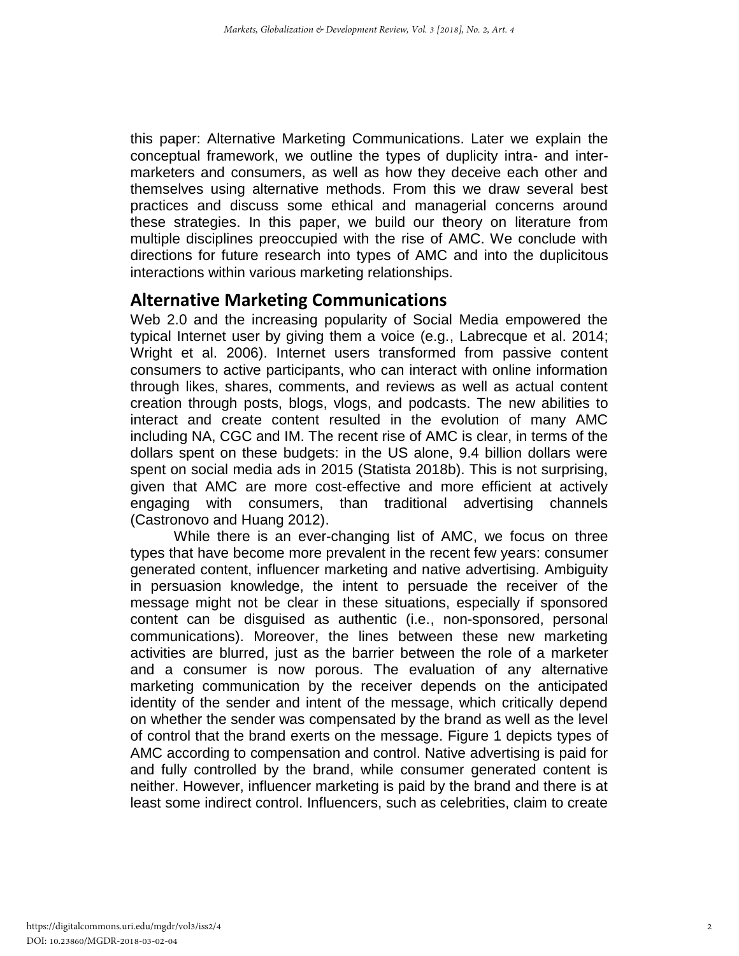this paper: Alternative Marketing Communications. Later we explain the conceptual framework, we outline the types of duplicity intra- and intermarketers and consumers, as well as how they deceive each other and themselves using alternative methods. From this we draw several best practices and discuss some ethical and managerial concerns around these strategies. In this paper, we build our theory on literature from multiple disciplines preoccupied with the rise of AMC. We conclude with directions for future research into types of AMC and into the duplicitous interactions within various marketing relationships.

# **Alternative Marketing Communications**

Web 2.0 and the increasing popularity of Social Media empowered the typical Internet user by giving them a voice (e.g., Labrecque et al. 2014; Wright et al. 2006). Internet users transformed from passive content consumers to active participants, who can interact with online information through likes, shares, comments, and reviews as well as actual content creation through posts, blogs, vlogs, and podcasts. The new abilities to interact and create content resulted in the evolution of many AMC including NA, CGC and IM. The recent rise of AMC is clear, in terms of the dollars spent on these budgets: in the US alone, 9.4 billion dollars were spent on social media ads in 2015 (Statista 2018b). This is not surprising, given that AMC are more cost-effective and more efficient at actively engaging with consumers, than traditional advertising channels (Castronovo and Huang 2012).

While there is an ever-changing list of AMC, we focus on three types that have become more prevalent in the recent few years: consumer generated content, influencer marketing and native advertising. Ambiguity in persuasion knowledge, the intent to persuade the receiver of the message might not be clear in these situations, especially if sponsored content can be disguised as authentic (i.e., non-sponsored, personal communications). Moreover, the lines between these new marketing activities are blurred, just as the barrier between the role of a marketer and a consumer is now porous. The evaluation of any alternative marketing communication by the receiver depends on the anticipated identity of the sender and intent of the message, which critically depend on whether the sender was compensated by the brand as well as the level of control that the brand exerts on the message. Figure 1 depicts types of AMC according to compensation and control. Native advertising is paid for and fully controlled by the brand, while consumer generated content is neither. However, influencer marketing is paid by the brand and there is at least some indirect control. Influencers, such as celebrities, claim to create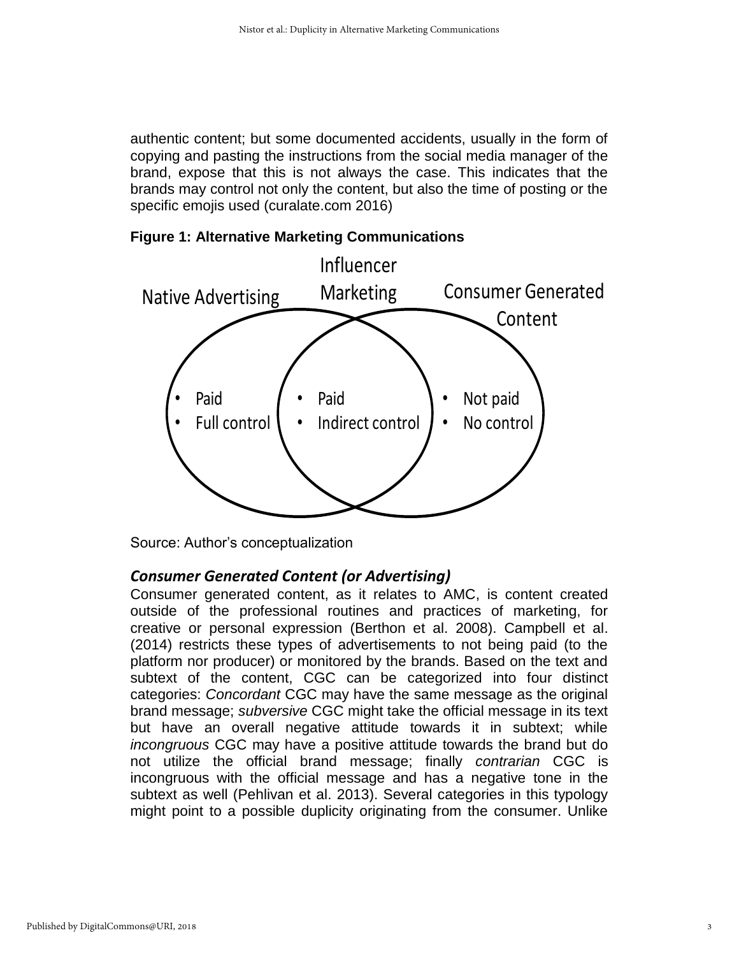authentic content; but some documented accidents, usually in the form of copying and pasting the instructions from the social media manager of the brand, expose that this is not always the case. This indicates that the brands may control not only the content, but also the time of posting or the specific emojis used (curalate.com 2016)



**Figure 1: Alternative Marketing Communications**

Source: Author's conceptualization

#### *Consumer Generated Content (or Advertising)*

Consumer generated content, as it relates to AMC, is content created outside of the professional routines and practices of marketing, for creative or personal expression (Berthon et al. 2008). Campbell et al. (2014) restricts these types of advertisements to not being paid (to the platform nor producer) or monitored by the brands. Based on the text and subtext of the content, CGC can be categorized into four distinct categories: *Concordant* CGC may have the same message as the original brand message; *subversive* CGC might take the official message in its text but have an overall negative attitude towards it in subtext; while *incongruous* CGC may have a positive attitude towards the brand but do not utilize the official brand message; finally *contrarian* CGC is incongruous with the official message and has a negative tone in the subtext as well (Pehlivan et al. 2013). Several categories in this typology might point to a possible duplicity originating from the consumer. Unlike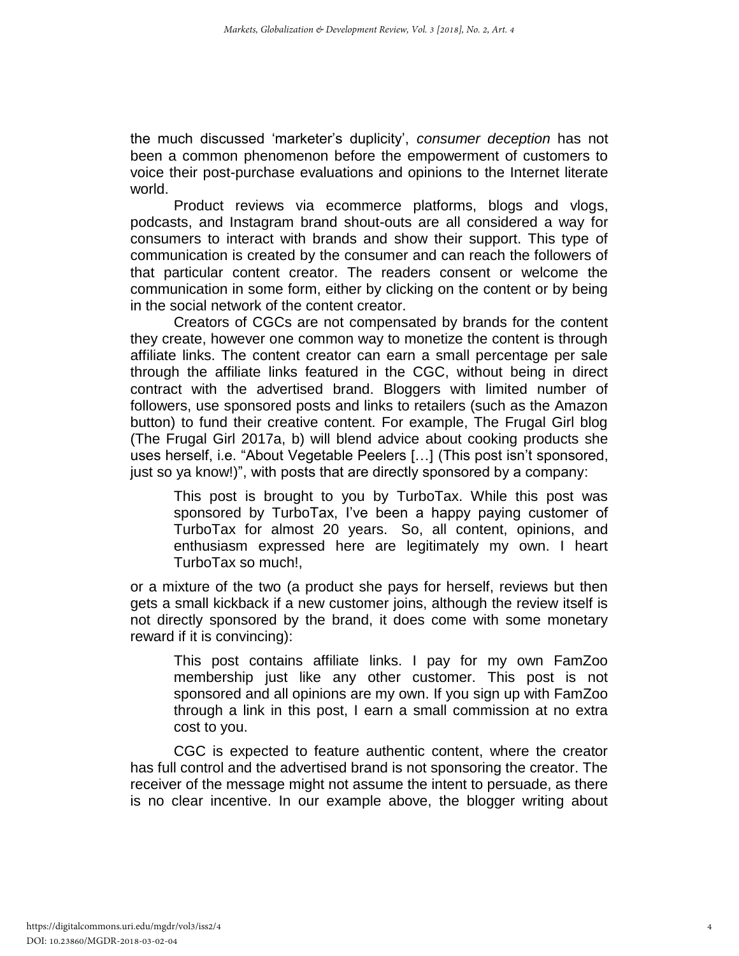the much discussed 'marketer's duplicity', *consumer deception* has not been a common phenomenon before the empowerment of customers to voice their post-purchase evaluations and opinions to the Internet literate world.

Product reviews via ecommerce platforms, blogs and vlogs, podcasts, and Instagram brand shout-outs are all considered a way for consumers to interact with brands and show their support. This type of communication is created by the consumer and can reach the followers of that particular content creator. The readers consent or welcome the communication in some form, either by clicking on the content or by being in the social network of the content creator.

Creators of CGCs are not compensated by brands for the content they create, however one common way to monetize the content is through affiliate links. The content creator can earn a small percentage per sale through the affiliate links featured in the CGC, without being in direct contract with the advertised brand. Bloggers with limited number of followers, use sponsored posts and links to retailers (such as the Amazon button) to fund their creative content. For example, The Frugal Girl blog (The Frugal Girl 2017a, b) will blend advice about cooking products she uses herself, i.e. "About Vegetable Peelers […] (This post isn't sponsored, just so ya know!)", with posts that are directly sponsored by a company:

This post is brought to you by TurboTax. While this post was sponsored by TurboTax, I've been a happy paying customer of TurboTax for almost 20 years. So, all content, opinions, and enthusiasm expressed here are legitimately my own. I heart TurboTax so much!,

or a mixture of the two (a product she pays for herself, reviews but then gets a small kickback if a new customer joins, although the review itself is not directly sponsored by the brand, it does come with some monetary reward if it is convincing):

This post contains affiliate links. I pay for my own FamZoo membership just like any other customer. This post is not sponsored and all opinions are my own. If you sign up with FamZoo through a link in this post, I earn a small commission at no extra cost to you.

CGC is expected to feature authentic content, where the creator has full control and the advertised brand is not sponsoring the creator. The receiver of the message might not assume the intent to persuade, as there is no clear incentive. In our example above, the blogger writing about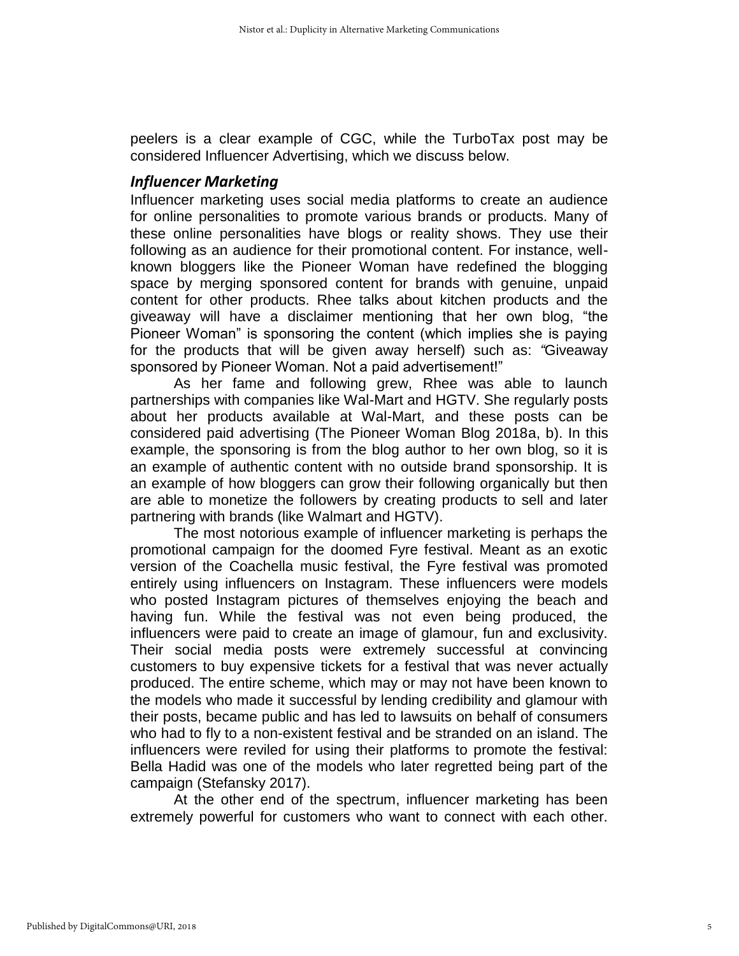peelers is a clear example of CGC, while the TurboTax post may be considered Influencer Advertising, which we discuss below.

#### *Influencer Marketing*

Influencer marketing uses social media platforms to create an audience for online personalities to promote various brands or products. Many of these online personalities have blogs or reality shows. They use their following as an audience for their promotional content. For instance, wellknown bloggers like the Pioneer Woman have redefined the blogging space by merging sponsored content for brands with genuine, unpaid content for other products. Rhee talks about kitchen products and the giveaway will have a disclaimer mentioning that her own blog, "the Pioneer Woman" is sponsoring the content (which implies she is paying for the products that will be given away herself) such as: *"*Giveaway sponsored by Pioneer Woman. Not a paid advertisement!"

As her fame and following grew, Rhee was able to launch partnerships with companies like Wal-Mart and HGTV. She regularly posts about her products available at Wal-Mart, and these posts can be considered paid advertising (The Pioneer Woman Blog 2018a, b). In this example, the sponsoring is from the blog author to her own blog, so it is an example of authentic content with no outside brand sponsorship. It is an example of how bloggers can grow their following organically but then are able to monetize the followers by creating products to sell and later partnering with brands (like Walmart and HGTV).

The most notorious example of influencer marketing is perhaps the promotional campaign for the doomed Fyre festival. Meant as an exotic version of the Coachella music festival, the Fyre festival was promoted entirely using influencers on Instagram. These influencers were models who posted Instagram pictures of themselves enjoying the beach and having fun. While the festival was not even being produced, the influencers were paid to create an image of glamour, fun and exclusivity. Their social media posts were extremely successful at convincing customers to buy expensive tickets for a festival that was never actually produced. The entire scheme, which may or may not have been known to the models who made it successful by lending credibility and glamour with their posts, became public and has led to lawsuits on behalf of consumers who had to fly to a non-existent festival and be stranded on an island. The influencers were reviled for using their platforms to promote the festival: Bella Hadid was one of the models who later regretted being part of the campaign (Stefansky 2017).

At the other end of the spectrum, influencer marketing has been extremely powerful for customers who want to connect with each other.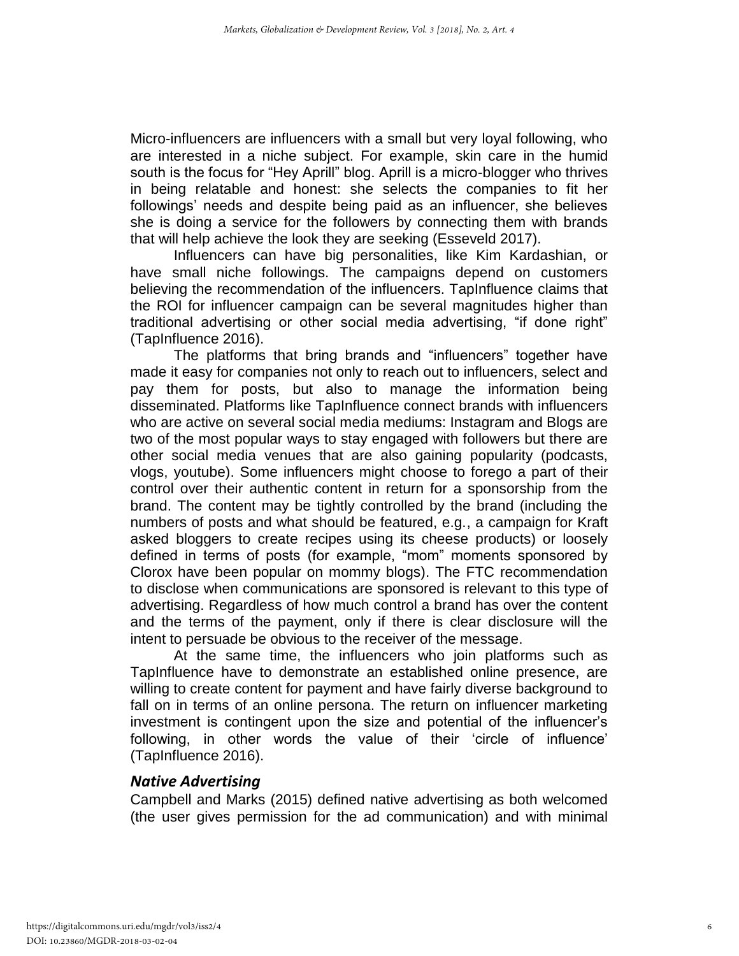Micro-influencers are influencers with a small but very loyal following, who are interested in a niche subject. For example, skin care in the humid south is the focus for "Hey Aprill" blog. Aprill is a micro-blogger who thrives in being relatable and honest: she selects the companies to fit her followings' needs and despite being paid as an influencer, she believes she is doing a service for the followers by connecting them with brands that will help achieve the look they are seeking (Esseveld 2017).

Influencers can have big personalities, like Kim Kardashian, or have small niche followings. The campaigns depend on customers believing the recommendation of the influencers. TapInfluence claims that the ROI for influencer campaign can be several magnitudes higher than traditional advertising or other social media advertising, "if done right" (TapInfluence 2016).

The platforms that bring brands and "influencers" together have made it easy for companies not only to reach out to influencers, select and pay them for posts, but also to manage the information being disseminated. Platforms like TapInfluence connect brands with influencers who are active on several social media mediums: Instagram and Blogs are two of the most popular ways to stay engaged with followers but there are other social media venues that are also gaining popularity (podcasts, vlogs, youtube). Some influencers might choose to forego a part of their control over their authentic content in return for a sponsorship from the brand. The content may be tightly controlled by the brand (including the numbers of posts and what should be featured, e.g., a campaign for Kraft asked bloggers to create recipes using its cheese products) or loosely defined in terms of posts (for example, "mom" moments sponsored by Clorox have been popular on mommy blogs). The FTC recommendation to disclose when communications are sponsored is relevant to this type of advertising. Regardless of how much control a brand has over the content and the terms of the payment, only if there is clear disclosure will the intent to persuade be obvious to the receiver of the message.

At the same time, the influencers who join platforms such as TapInfluence have to demonstrate an established online presence, are willing to create content for payment and have fairly diverse background to fall on in terms of an online persona. The return on influencer marketing investment is contingent upon the size and potential of the influencer's following, in other words the value of their 'circle of influence' (TapInfluence 2016).

#### *Native Advertising*

Campbell and Marks (2015) defined native advertising as both welcomed (the user gives permission for the ad communication) and with minimal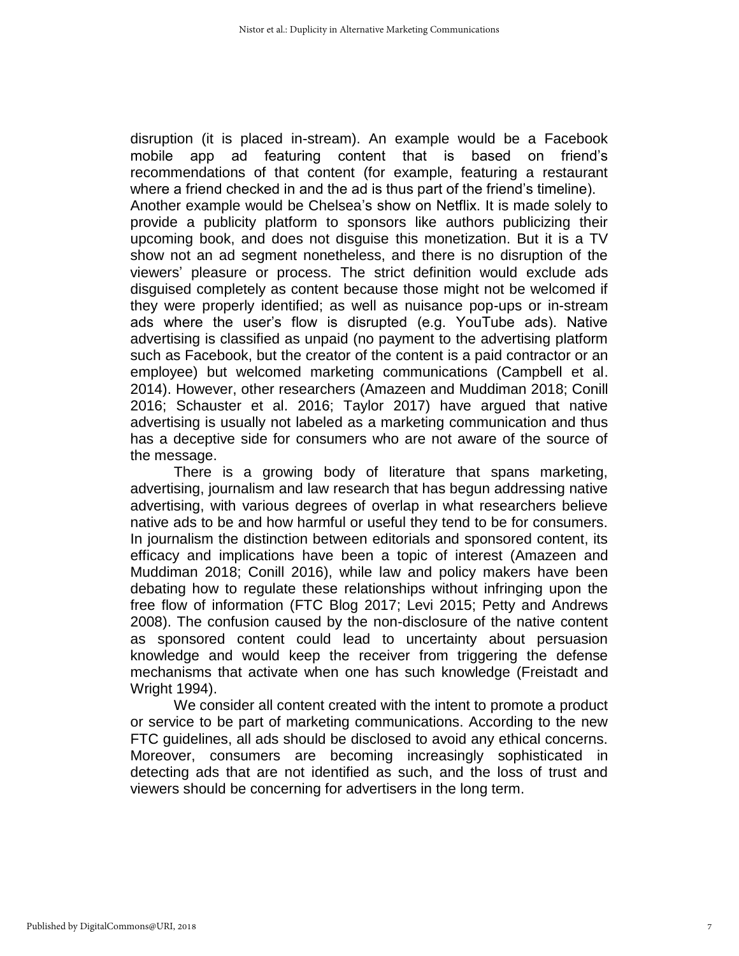disruption (it is placed in-stream). An example would be a Facebook mobile app ad featuring content that is based on friend's recommendations of that content (for example, featuring a restaurant where a friend checked in and the ad is thus part of the friend's timeline). Another example would be Chelsea's show on Netflix. It is made solely to provide a publicity platform to sponsors like authors publicizing their upcoming book, and does not disguise this monetization. But it is a TV show not an ad segment nonetheless, and there is no disruption of the viewers' pleasure or process. The strict definition would exclude ads disguised completely as content because those might not be welcomed if they were properly identified; as well as nuisance pop-ups or in-stream ads where the user's flow is disrupted (e.g. YouTube ads). Native advertising is classified as unpaid (no payment to the advertising platform such as Facebook, but the creator of the content is a paid contractor or an employee) but welcomed marketing communications (Campbell et al.

2014). However, other researchers (Amazeen and Muddiman 2018; Conill 2016; Schauster et al. 2016; Taylor 2017) have argued that native advertising is usually not labeled as a marketing communication and thus has a deceptive side for consumers who are not aware of the source of the message.

There is a growing body of literature that spans marketing, advertising, journalism and law research that has begun addressing native advertising, with various degrees of overlap in what researchers believe native ads to be and how harmful or useful they tend to be for consumers. In journalism the distinction between editorials and sponsored content, its efficacy and implications have been a topic of interest (Amazeen and Muddiman 2018; Conill 2016), while law and policy makers have been debating how to regulate these relationships without infringing upon the free flow of information (FTC Blog 2017; Levi 2015; Petty and Andrews 2008). The confusion caused by the non-disclosure of the native content as sponsored content could lead to uncertainty about persuasion knowledge and would keep the receiver from triggering the defense mechanisms that activate when one has such knowledge (Freistadt and Wright 1994).

We consider all content created with the intent to promote a product or service to be part of marketing communications. According to the new FTC guidelines, all ads should be disclosed to avoid any ethical concerns. Moreover, consumers are becoming increasingly sophisticated in detecting ads that are not identified as such, and the loss of trust and viewers should be concerning for advertisers in the long term.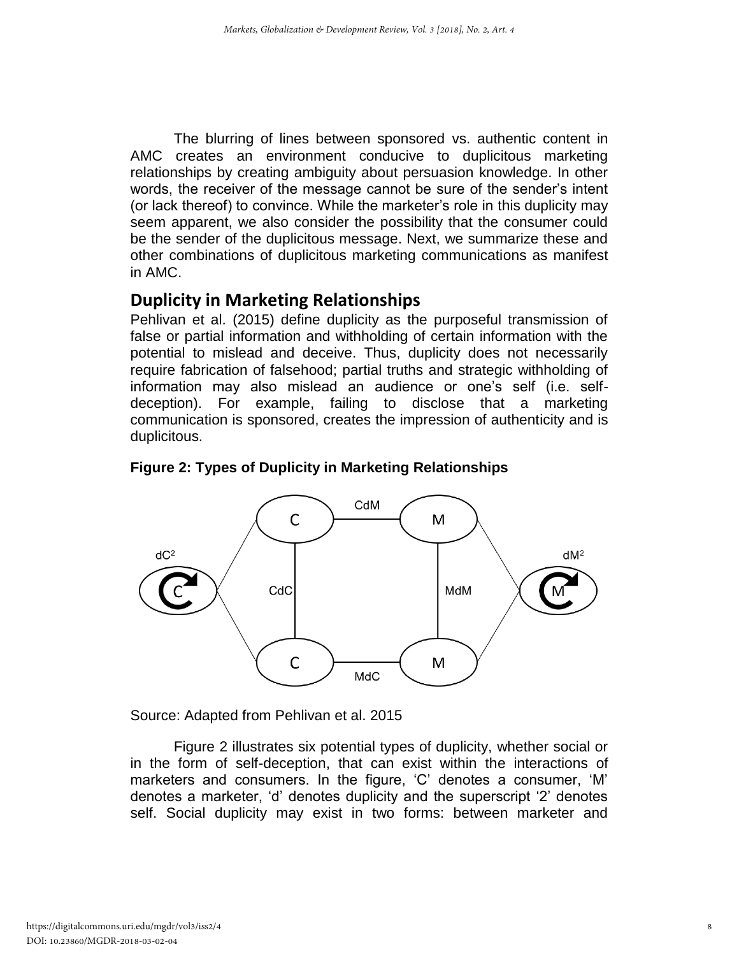The blurring of lines between sponsored vs. authentic content in AMC creates an environment conducive to duplicitous marketing relationships by creating ambiguity about persuasion knowledge. In other words, the receiver of the message cannot be sure of the sender's intent (or lack thereof) to convince. While the marketer's role in this duplicity may seem apparent, we also consider the possibility that the consumer could be the sender of the duplicitous message. Next, we summarize these and other combinations of duplicitous marketing communications as manifest in AMC.

# **Duplicity in Marketing Relationships**

Pehlivan et al. (2015) define duplicity as the purposeful transmission of false or partial information and withholding of certain information with the potential to mislead and deceive. Thus, duplicity does not necessarily require fabrication of falsehood; partial truths and strategic withholding of information may also mislead an audience or one's self (i.e. selfdeception). For example, failing to disclose that a marketing communication is sponsored, creates the impression of authenticity and is duplicitous.



## **Figure 2: Types of Duplicity in Marketing Relationships**

Source: Adapted from Pehlivan et al. 2015

Figure 2 illustrates six potential types of duplicity, whether social or in the form of self-deception, that can exist within the interactions of marketers and consumers. In the figure, 'C' denotes a consumer, 'M' denotes a marketer, 'd' denotes duplicity and the superscript '2' denotes self. Social duplicity may exist in two forms: between marketer and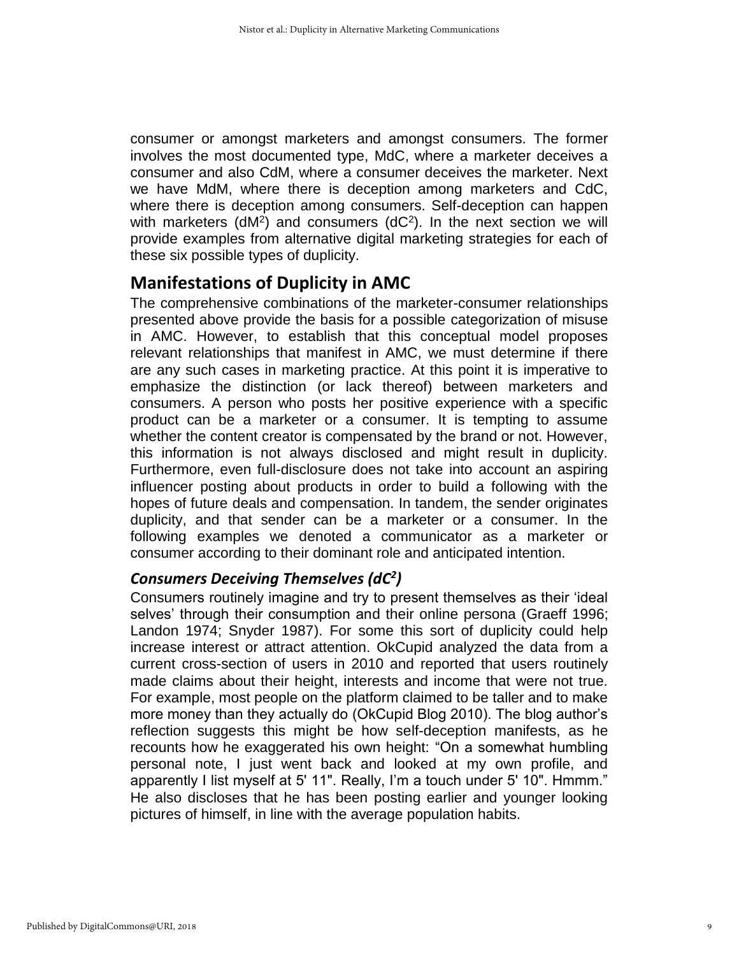consumer or amongst marketers and amongst consumers. The former involves the most documented type, MdC, where a marketer deceives a consumer and also CdM, where a consumer deceives the marketer. Next we have MdM, where there is deception among marketers and CdC, where there is deception among consumers. Self-deception can happen with marketers ( $dM^2$ ) and consumers ( $dC^2$ ). In the next section we will provide examples from alternative digital marketing strategies for each of these six possible types of duplicity.

# **Manifestations of Duplicity in AMC**

The comprehensive combinations of the marketer-consumer relationships presented above provide the basis for a possible categorization of misuse in AMC. However, to establish that this conceptual model proposes relevant relationships that manifest in AMC, we must determine if there are any such cases in marketing practice. At this point it is imperative to emphasize the distinction (or lack thereof) between marketers and consumers. A person who posts her positive experience with a specific product can be a marketer or a consumer. It is tempting to assume whether the content creator is compensated by the brand or not. However, this information is not always disclosed and might result in duplicity. Furthermore, even full-disclosure does not take into account an aspiring influencer posting about products in order to build a following with the hopes of future deals and compensation. In tandem, the sender originates duplicity, and that sender can be a marketer or a consumer. In the following examples we denoted a communicator as a marketer or consumer according to their dominant role and anticipated intention.

# *Consumers Deceiving Themselves (dC<sup>2</sup> )*

Consumers routinely imagine and try to present themselves as their 'ideal selves' through their consumption and their online persona (Graeff 1996; Landon 1974; Snyder 1987). For some this sort of duplicity could help increase interest or attract attention. OkCupid analyzed the data from a current cross-section of users in 2010 and reported that users routinely made claims about their height, interests and income that were not true. For example, most people on the platform claimed to be taller and to make more money than they actually do (OkCupid Blog 2010). The blog author's reflection suggests this might be how self-deception manifests, as he recounts how he exaggerated his own height: "On a somewhat humbling personal note, I just went back and looked at my own profile, and apparently I list myself at 5' 11". Really, I'm a touch under 5' 10". Hmmm." He also discloses that he has been posting earlier and younger looking pictures of himself, in line with the average population habits.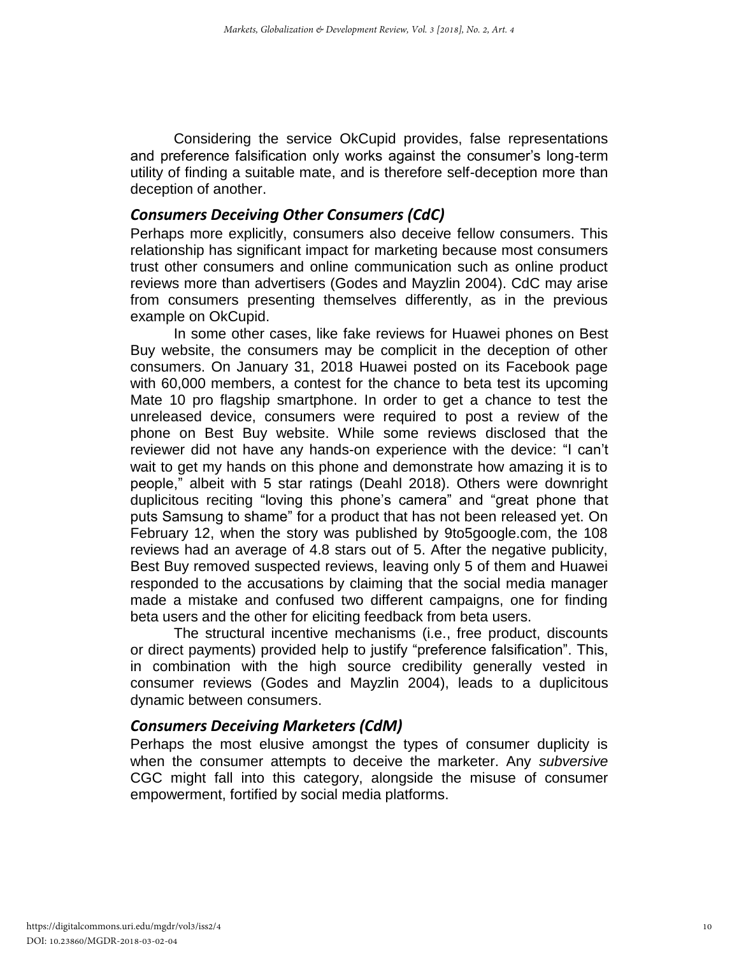Considering the service OkCupid provides, false representations and preference falsification only works against the consumer's long-term utility of finding a suitable mate, and is therefore self-deception more than deception of another.

#### *Consumers Deceiving Other Consumers (CdC)*

Perhaps more explicitly, consumers also deceive fellow consumers. This relationship has significant impact for marketing because most consumers trust other consumers and online communication such as online product reviews more than advertisers (Godes and Mayzlin 2004). CdC may arise from consumers presenting themselves differently, as in the previous example on OkCupid.

In some other cases, like fake reviews for Huawei phones on Best Buy website, the consumers may be complicit in the deception of other consumers. On January 31, 2018 Huawei posted on its Facebook page with 60,000 members, a contest for the chance to beta test its upcoming Mate 10 pro flagship smartphone. In order to get a chance to test the unreleased device, consumers were required to post a review of the phone on Best Buy website. While some reviews disclosed that the reviewer did not have any hands-on experience with the device: "I can't wait to get my hands on this phone and demonstrate how amazing it is to people," albeit with 5 star ratings (Deahl 2018). Others were downright duplicitous reciting "loving this phone's camera" and "great phone that puts Samsung to shame" for a product that has not been released yet. On February 12, when the story was published by 9to5google.com, the 108 reviews had an average of 4.8 stars out of 5. After the negative publicity, Best Buy removed suspected reviews, leaving only 5 of them and Huawei responded to the accusations by claiming that the social media manager made a mistake and confused two different campaigns, one for finding beta users and the other for eliciting feedback from beta users.

The structural incentive mechanisms (i.e., free product, discounts or direct payments) provided help to justify "preference falsification". This, in combination with the high source credibility generally vested in consumer reviews (Godes and Mayzlin 2004), leads to a duplicitous dynamic between consumers.

## *Consumers Deceiving Marketers (CdM)*

Perhaps the most elusive amongst the types of consumer duplicity is when the consumer attempts to deceive the marketer. Any *subversive* CGC might fall into this category, alongside the misuse of consumer empowerment, fortified by social media platforms.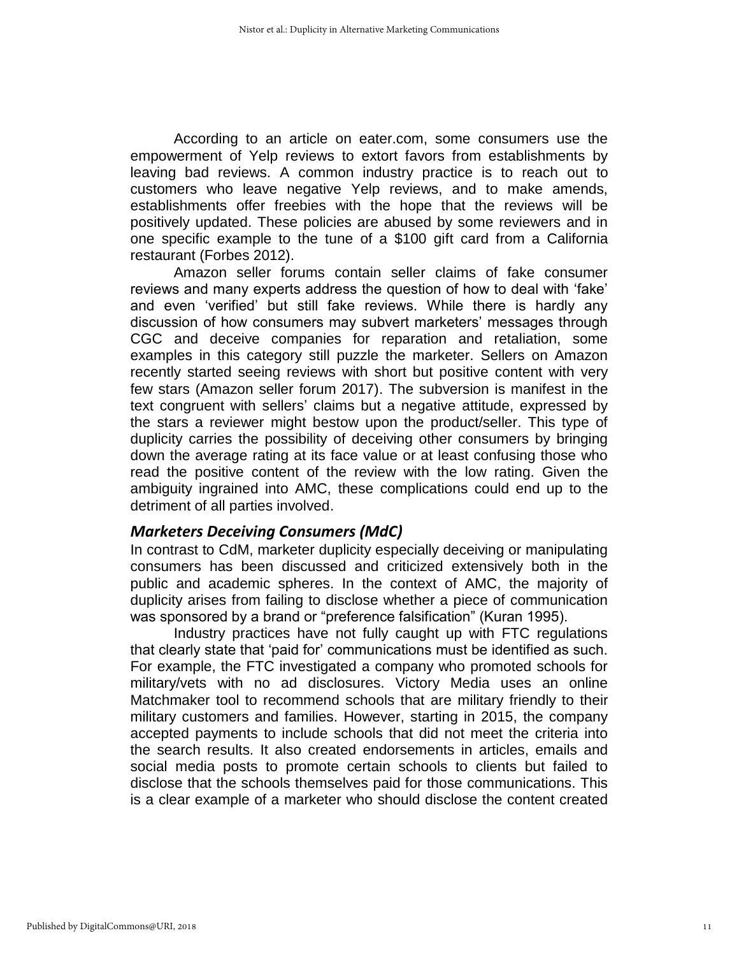According to an article on eater.com, some consumers use the empowerment of Yelp reviews to extort favors from establishments by leaving bad reviews. A common industry practice is to reach out to customers who leave negative Yelp reviews, and to make amends, establishments offer freebies with the hope that the reviews will be positively updated. These policies are abused by some reviewers and in one specific example to the tune of a \$100 gift card from a California restaurant (Forbes 2012).

Amazon seller forums contain seller claims of fake consumer reviews and many experts address the question of how to deal with 'fake' and even 'verified' but still fake reviews. While there is hardly any discussion of how consumers may subvert marketers' messages through CGC and deceive companies for reparation and retaliation, some examples in this category still puzzle the marketer. Sellers on Amazon recently started seeing reviews with short but positive content with very few stars (Amazon seller forum 2017). The subversion is manifest in the text congruent with sellers' claims but a negative attitude, expressed by the stars a reviewer might bestow upon the product/seller. This type of duplicity carries the possibility of deceiving other consumers by bringing down the average rating at its face value or at least confusing those who read the positive content of the review with the low rating. Given the ambiguity ingrained into AMC, these complications could end up to the detriment of all parties involved.

#### *Marketers Deceiving Consumers (MdC)*

In contrast to CdM, marketer duplicity especially deceiving or manipulating consumers has been discussed and criticized extensively both in the public and academic spheres. In the context of AMC, the majority of duplicity arises from failing to disclose whether a piece of communication was sponsored by a brand or "preference falsification" (Kuran 1995).

Industry practices have not fully caught up with FTC regulations that clearly state that 'paid for' communications must be identified as such. For example, the FTC investigated a company who promoted schools for military/vets with no ad disclosures. Victory Media uses an online Matchmaker tool to recommend schools that are military friendly to their military customers and families. However, starting in 2015, the company accepted payments to include schools that did not meet the criteria into the search results. It also created endorsements in articles, emails and social media posts to promote certain schools to clients but failed to disclose that the schools themselves paid for those communications. This is a clear example of a marketer who should disclose the content created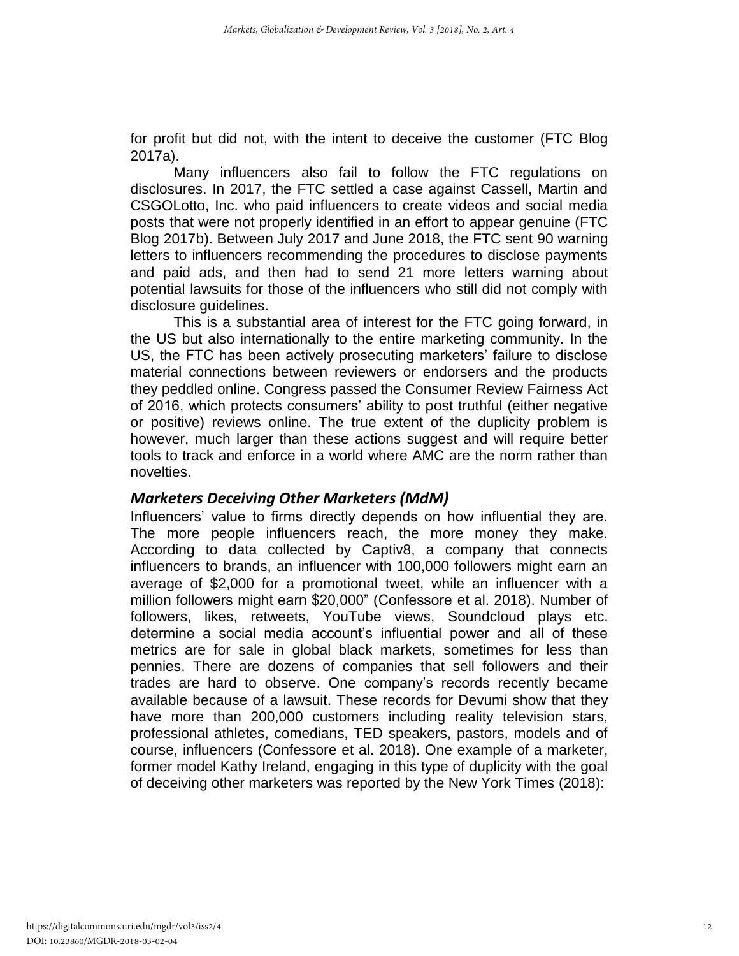for profit but did not, with the intent to deceive the customer (FTC Blog 2017a).

Many influencers also fail to follow the FTC regulations on disclosures. In 2017, the FTC settled a case against Cassell, Martin and CSGOLotto, Inc. who paid influencers to create videos and social media posts that were not properly identified in an effort to appear genuine (FTC Blog 2017b). Between July 2017 and June 2018, the FTC sent 90 warning letters to influencers recommending the procedures to disclose payments and paid ads, and then had to send 21 more letters warning about potential lawsuits for those of the influencers who still did not comply with disclosure guidelines.

This is a substantial area of interest for the FTC going forward, in the US but also internationally to the entire marketing community. In the US, the FTC has been actively prosecuting marketers' failure to disclose material connections between reviewers or endorsers and the products they peddled online. Congress passed the Consumer Review Fairness Act of 2016, which protects consumers' ability to post truthful (either negative or positive) reviews online. The true extent of the duplicity problem is however, much larger than these actions suggest and will require better tools to track and enforce in a world where AMC are the norm rather than novelties.

#### *Marketers Deceiving Other Marketers (MdM)*

Influencers' value to firms directly depends on how influential they are. The more people influencers reach, the more money they make. According to data collected by Captiv8, a company that connects influencers to brands, an influencer with 100,000 followers might earn an average of \$2,000 for a promotional tweet, while an influencer with a million followers might earn \$20,000" (Confessore et al. 2018). Number of followers, likes, retweets, YouTube views, Soundcloud plays etc. determine a social media account's influential power and all of these metrics are for sale in global black markets, sometimes for less than pennies. There are dozens of companies that sell followers and their trades are hard to observe. One company's records recently became available because of a lawsuit. These records for Devumi show that they have more than 200,000 customers including reality television stars, professional athletes, comedians, TED speakers, pastors, models and of course, influencers (Confessore et al. 2018). One example of a marketer, former model Kathy Ireland, engaging in this type of duplicity with the goal of deceiving other marketers was reported by the New York Times (2018):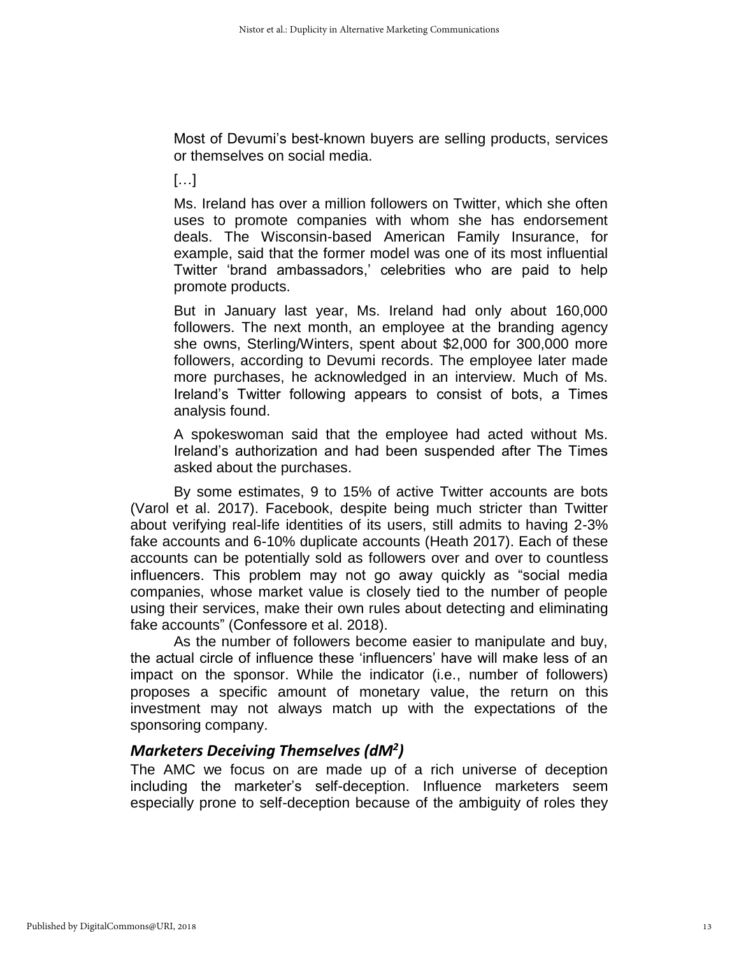Most of Devumi's best-known buyers are selling products, services or themselves on social media.

[…]

Ms. Ireland has over a million followers on Twitter, which she often uses to promote companies with whom she has endorsement deals. The Wisconsin-based American Family Insurance, for example, said that the former model was one of its most influential Twitter 'brand ambassadors,' celebrities who are paid to help promote products.

But in January last year, Ms. Ireland had only about 160,000 followers. The next month, an employee at the branding agency she owns, Sterling/Winters, spent about \$2,000 for 300,000 more followers, according to Devumi records. The employee later made more purchases, he acknowledged in an interview. Much of Ms. Ireland's Twitter following appears to consist of bots, a Times analysis found.

A spokeswoman said that the employee had acted without Ms. Ireland's authorization and had been suspended after The Times asked about the purchases.

By some estimates, 9 to 15% of active Twitter accounts are bots (Varol et al. 2017). Facebook, despite being much stricter than Twitter about verifying real-life identities of its users, still admits to having 2-3% fake accounts and 6-10% duplicate accounts (Heath 2017). Each of these accounts can be potentially sold as followers over and over to countless influencers. This problem may not go away quickly as "social media companies, whose market value is closely tied to the number of people using their services, make their own rules about detecting and eliminating fake accounts" (Confessore et al. 2018).

As the number of followers become easier to manipulate and buy, the actual circle of influence these 'influencers' have will make less of an impact on the sponsor. While the indicator (i.e., number of followers) proposes a specific amount of monetary value, the return on this investment may not always match up with the expectations of the sponsoring company.

# *Marketers Deceiving Themselves (dM<sup>2</sup> )*

The AMC we focus on are made up of a rich universe of deception including the marketer's self-deception. Influence marketers seem especially prone to self-deception because of the ambiguity of roles they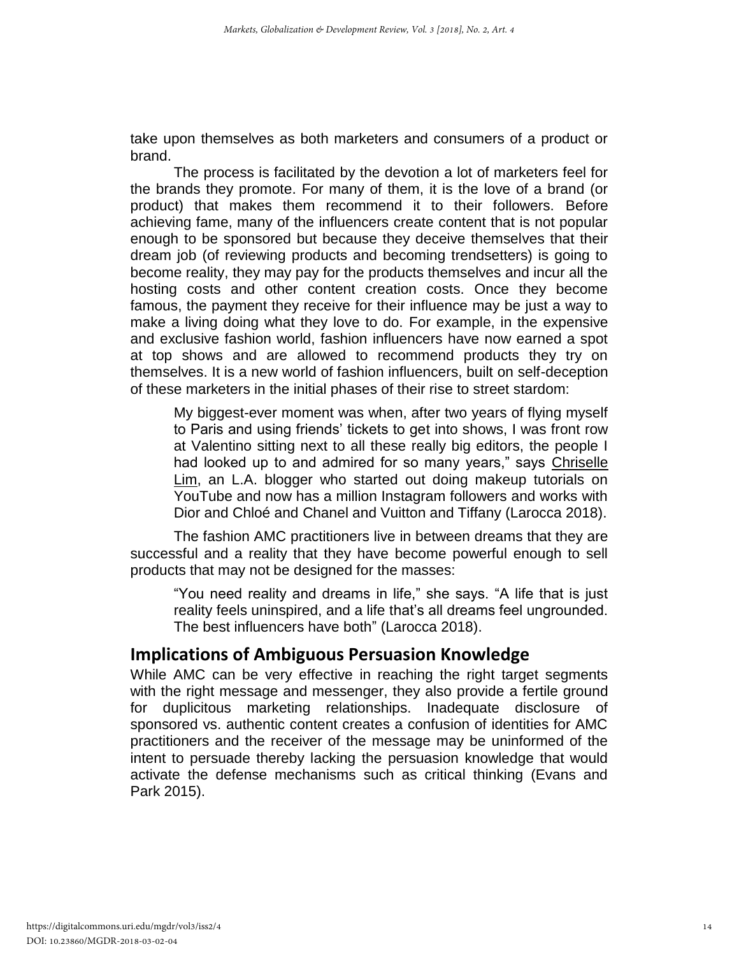take upon themselves as both marketers and consumers of a product or brand.

The process is facilitated by the devotion a lot of marketers feel for the brands they promote. For many of them, it is the love of a brand (or product) that makes them recommend it to their followers. Before achieving fame, many of the influencers create content that is not popular enough to be sponsored but because they deceive themselves that their dream job (of reviewing products and becoming trendsetters) is going to become reality, they may pay for the products themselves and incur all the hosting costs and other content creation costs. Once they become famous, the payment they receive for their influence may be just a way to make a living doing what they love to do. For example, in the expensive and exclusive fashion world, fashion influencers have now earned a spot at top shows and are allowed to recommend products they try on themselves. It is a new world of fashion influencers, built on self-deception of these marketers in the initial phases of their rise to street stardom:

My biggest-ever moment was when, after two years of flying myself to Paris and using friends' tickets to get into shows, I was front row at Valentino sitting next to all these really big editors, the people I had looked up to and admired for so many years," says [Chriselle](https://www.thecut.com/2018/01/chriselle-lims-travel-beauty-routine-and-favorite-products.html)  [Lim,](https://www.thecut.com/2018/01/chriselle-lims-travel-beauty-routine-and-favorite-products.html) an L.A. blogger who started out doing makeup tutorials on YouTube and now has a million Instagram followers and works with Dior and Chloé and Chanel and Vuitton and Tiffany (Larocca 2018).

The fashion AMC practitioners live in between dreams that they are successful and a reality that they have become powerful enough to sell products that may not be designed for the masses:

"You need reality and dreams in life," she says. "A life that is just reality feels uninspired, and a life that's all dreams feel ungrounded. The best influencers have both" (Larocca 2018).

# **Implications of Ambiguous Persuasion Knowledge**

While AMC can be very effective in reaching the right target segments with the right message and messenger, they also provide a fertile ground for duplicitous marketing relationships. Inadequate disclosure of sponsored vs. authentic content creates a confusion of identities for AMC practitioners and the receiver of the message may be uninformed of the intent to persuade thereby lacking the persuasion knowledge that would activate the defense mechanisms such as critical thinking (Evans and Park 2015).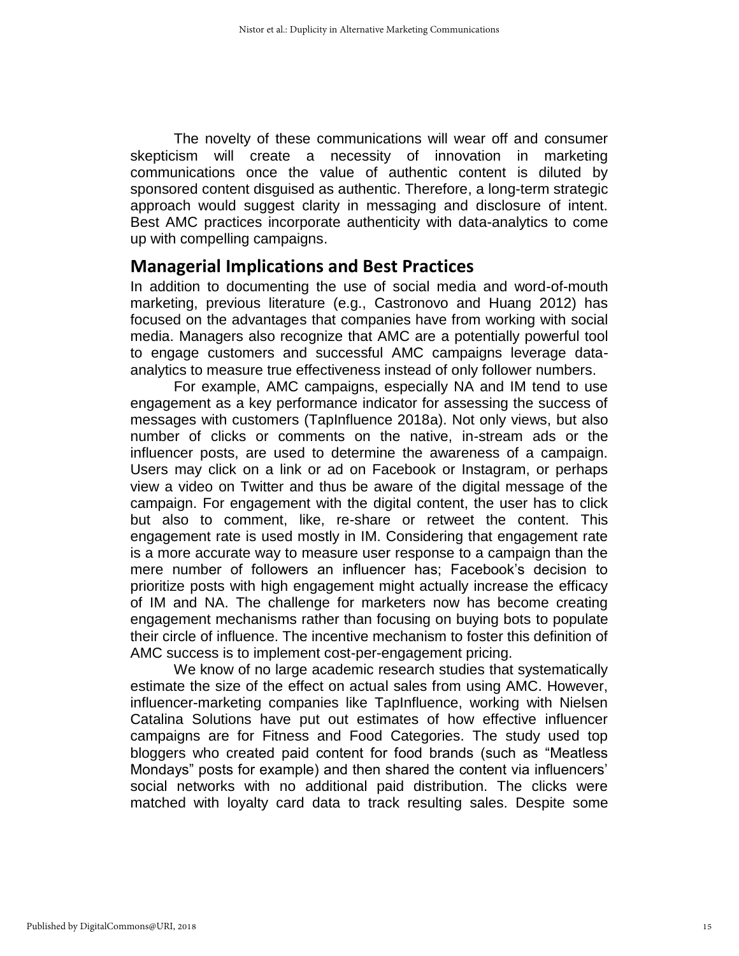The novelty of these communications will wear off and consumer skepticism will create a necessity of innovation in marketing communications once the value of authentic content is diluted by sponsored content disguised as authentic. Therefore, a long-term strategic approach would suggest clarity in messaging and disclosure of intent. Best AMC practices incorporate authenticity with data-analytics to come up with compelling campaigns.

## **Managerial Implications and Best Practices**

In addition to documenting the use of social media and word-of-mouth marketing, previous literature (e.g., Castronovo and Huang 2012) has focused on the advantages that companies have from working with social media. Managers also recognize that AMC are a potentially powerful tool to engage customers and successful AMC campaigns leverage dataanalytics to measure true effectiveness instead of only follower numbers.

For example, AMC campaigns, especially NA and IM tend to use engagement as a key performance indicator for assessing the success of messages with customers (TapInfluence 2018a). Not only views, but also number of clicks or comments on the native, in-stream ads or the influencer posts, are used to determine the awareness of a campaign. Users may click on a link or ad on Facebook or Instagram, or perhaps view a video on Twitter and thus be aware of the digital message of the campaign. For engagement with the digital content, the user has to click but also to comment, like, re-share or retweet the content. This engagement rate is used mostly in IM. Considering that engagement rate is a more accurate way to measure user response to a campaign than the mere number of followers an influencer has; Facebook's decision to prioritize posts with high engagement might actually increase the efficacy of IM and NA. The challenge for marketers now has become creating engagement mechanisms rather than focusing on buying bots to populate their circle of influence. The incentive mechanism to foster this definition of AMC success is to implement cost-per-engagement pricing.

We know of no large academic research studies that systematically estimate the size of the effect on actual sales from using AMC. However, influencer-marketing companies like TapInfluence, working with Nielsen Catalina Solutions have put out estimates of how effective influencer campaigns are for Fitness and Food Categories. The study used top bloggers who created paid content for food brands (such as "Meatless Mondays" posts for example) and then shared the content via influencers' social networks with no additional paid distribution. The clicks were matched with loyalty card data to track resulting sales. Despite some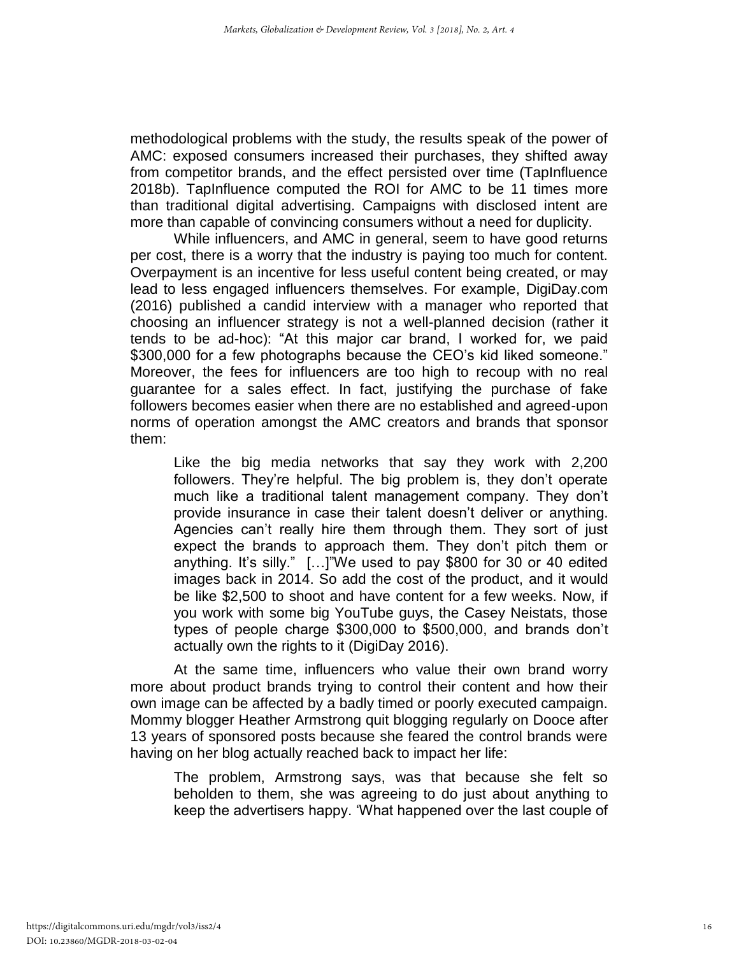methodological problems with the study, the results speak of the power of AMC: exposed consumers increased their purchases, they shifted away from competitor brands, and the effect persisted over time (TapInfluence 2018b). TapInfluence computed the ROI for AMC to be 11 times more than traditional digital advertising. Campaigns with disclosed intent are more than capable of convincing consumers without a need for duplicity.

While influencers, and AMC in general, seem to have good returns per cost, there is a worry that the industry is paying too much for content. Overpayment is an incentive for less useful content being created, or may lead to less engaged influencers themselves. For example, DigiDay.com (2016) published a candid interview with a manager who reported that choosing an influencer strategy is not a well-planned decision (rather it tends to be ad-hoc): "At this major car brand, I worked for, we paid \$300,000 for a few photographs because the CEO's kid liked someone." Moreover, the fees for influencers are too high to recoup with no real guarantee for a sales effect. In fact, justifying the purchase of fake followers becomes easier when there are no established and agreed-upon norms of operation amongst the AMC creators and brands that sponsor them:

Like the big media networks that say they work with 2,200 followers. They're helpful. The big problem is, they don't operate much like a traditional talent management company. They don't provide insurance in case their talent doesn't deliver or anything. Agencies can't really hire them through them. They sort of just expect the brands to approach them. They don't pitch them or anything. It's silly." […]"We used to pay \$800 for 30 or 40 edited images back in 2014. So add the cost of the product, and it would be like \$2,500 to shoot and have content for a few weeks. Now, if you work with some big YouTube guys, the Casey Neistats, those types of people charge \$300,000 to \$500,000, and brands don't actually own the rights to it (DigiDay 2016).

At the same time, influencers who value their own brand worry more about product brands trying to control their content and how their own image can be affected by a badly timed or poorly executed campaign. Mommy blogger Heather Armstrong quit blogging regularly on Dooce after 13 years of sponsored posts because she feared the control brands were having on her blog actually reached back to impact her life:

The problem, Armstrong says, was that because she felt so beholden to them, she was agreeing to do just about anything to keep the advertisers happy. 'What happened over the last couple of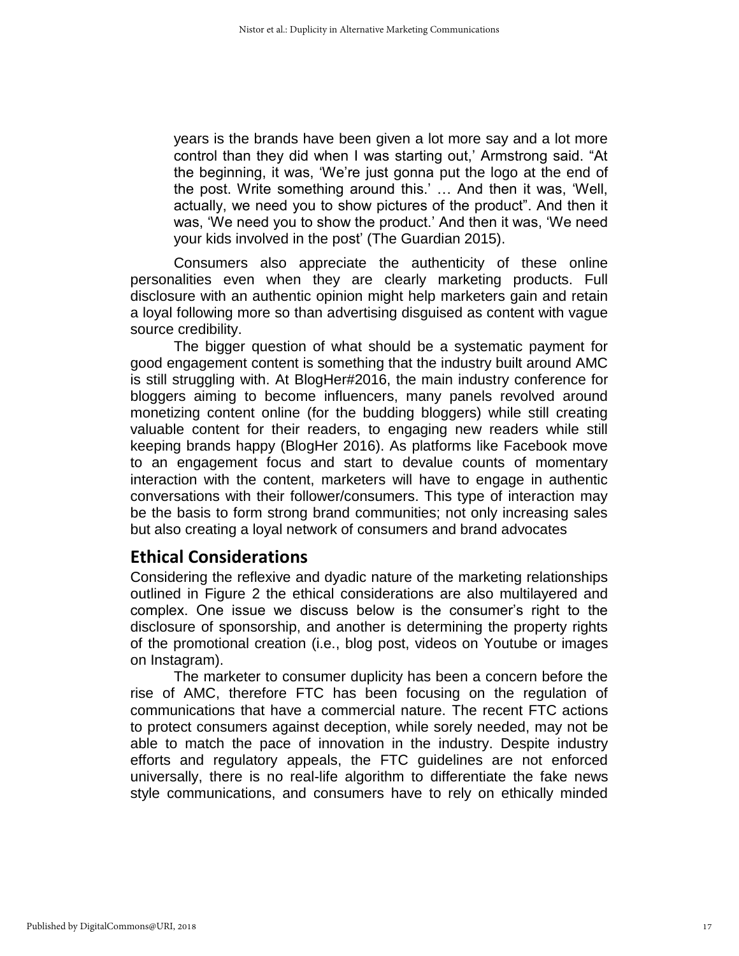years is the brands have been given a lot more say and a lot more control than they did when I was starting out,' Armstrong said. "At the beginning, it was, 'We're just gonna put the logo at the end of the post. Write something around this.' … And then it was, 'Well, actually, we need you to show pictures of the product". And then it was, 'We need you to show the product.' And then it was, 'We need your kids involved in the post' (The Guardian 2015).

Consumers also appreciate the authenticity of these online personalities even when they are clearly marketing products. Full disclosure with an authentic opinion might help marketers gain and retain a loyal following more so than advertising disguised as content with vague source credibility.

The bigger question of what should be a systematic payment for good engagement content is something that the industry built around AMC is still struggling with. At BlogHer#2016, the main industry conference for bloggers aiming to become influencers, many panels revolved around monetizing content online (for the budding bloggers) while still creating valuable content for their readers, to engaging new readers while still keeping brands happy (BlogHer 2016). As platforms like Facebook move to an engagement focus and start to devalue counts of momentary interaction with the content, marketers will have to engage in authentic conversations with their follower/consumers. This type of interaction may be the basis to form strong brand communities; not only increasing sales but also creating a loyal network of consumers and brand advocates

# **Ethical Considerations**

Considering the reflexive and dyadic nature of the marketing relationships outlined in Figure 2 the ethical considerations are also multilayered and complex. One issue we discuss below is the consumer's right to the disclosure of sponsorship, and another is determining the property rights of the promotional creation (i.e., blog post, videos on Youtube or images on Instagram).

The marketer to consumer duplicity has been a concern before the rise of AMC, therefore FTC has been focusing on the regulation of communications that have a commercial nature. The recent FTC actions to protect consumers against deception, while sorely needed, may not be able to match the pace of innovation in the industry. Despite industry efforts and regulatory appeals, the FTC guidelines are not enforced universally, there is no real-life algorithm to differentiate the fake news style communications, and consumers have to rely on ethically minded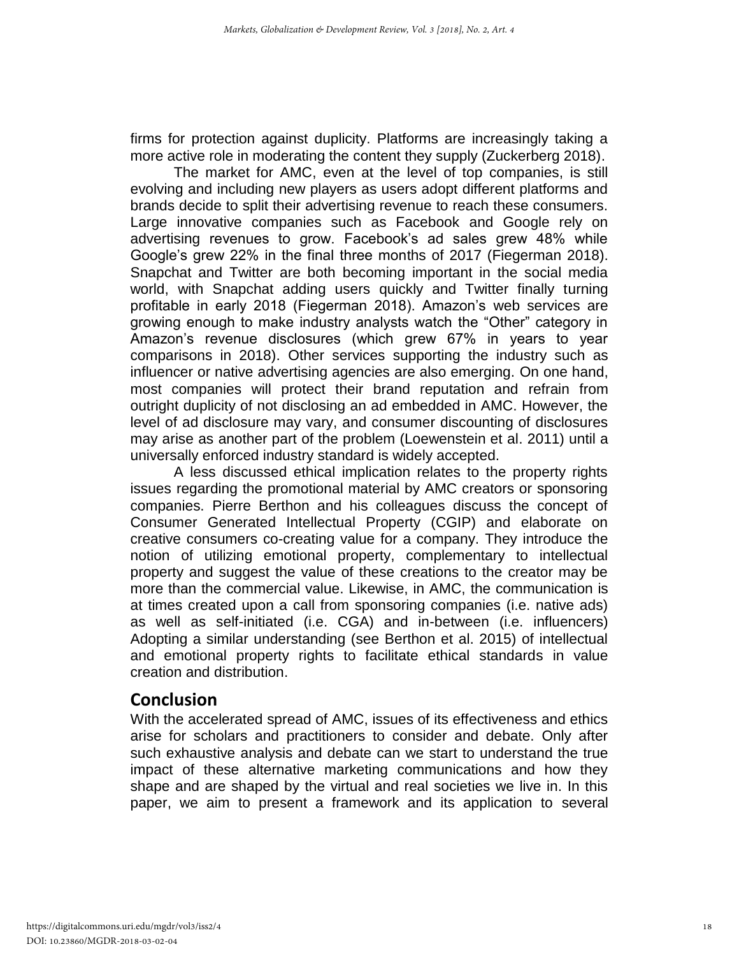firms for protection against duplicity. Platforms are increasingly taking a more active role in moderating the content they supply (Zuckerberg 2018).

The market for AMC, even at the level of top companies, is still evolving and including new players as users adopt different platforms and brands decide to split their advertising revenue to reach these consumers. Large innovative companies such as Facebook and Google rely on advertising revenues to grow. Facebook's ad sales grew 48% while Google's grew 22% in the final three months of 2017 (Fiegerman 2018). Snapchat and Twitter are both becoming important in the social media world, with Snapchat adding users quickly and Twitter finally turning profitable in early 2018 (Fiegerman 2018). Amazon's web services are growing enough to make industry analysts watch the "Other" category in Amazon's revenue disclosures (which grew 67% in years to year comparisons in 2018). Other services supporting the industry such as influencer or native advertising agencies are also emerging. On one hand, most companies will protect their brand reputation and refrain from outright duplicity of not disclosing an ad embedded in AMC. However, the level of ad disclosure may vary, and consumer discounting of disclosures may arise as another part of the problem (Loewenstein et al. 2011) until a universally enforced industry standard is widely accepted.

A less discussed ethical implication relates to the property rights issues regarding the promotional material by AMC creators or sponsoring companies. Pierre Berthon and his colleagues discuss the concept of Consumer Generated Intellectual Property (CGIP) and elaborate on creative consumers co-creating value for a company. They introduce the notion of utilizing emotional property, complementary to intellectual property and suggest the value of these creations to the creator may be more than the commercial value. Likewise, in AMC, the communication is at times created upon a call from sponsoring companies (i.e. native ads) as well as self-initiated (i.e. CGA) and in-between (i.e. influencers) Adopting a similar understanding (see Berthon et al. 2015) of intellectual and emotional property rights to facilitate ethical standards in value creation and distribution.

# **Conclusion**

With the accelerated spread of AMC, issues of its effectiveness and ethics arise for scholars and practitioners to consider and debate. Only after such exhaustive analysis and debate can we start to understand the true impact of these alternative marketing communications and how they shape and are shaped by the virtual and real societies we live in. In this paper, we aim to present a framework and its application to several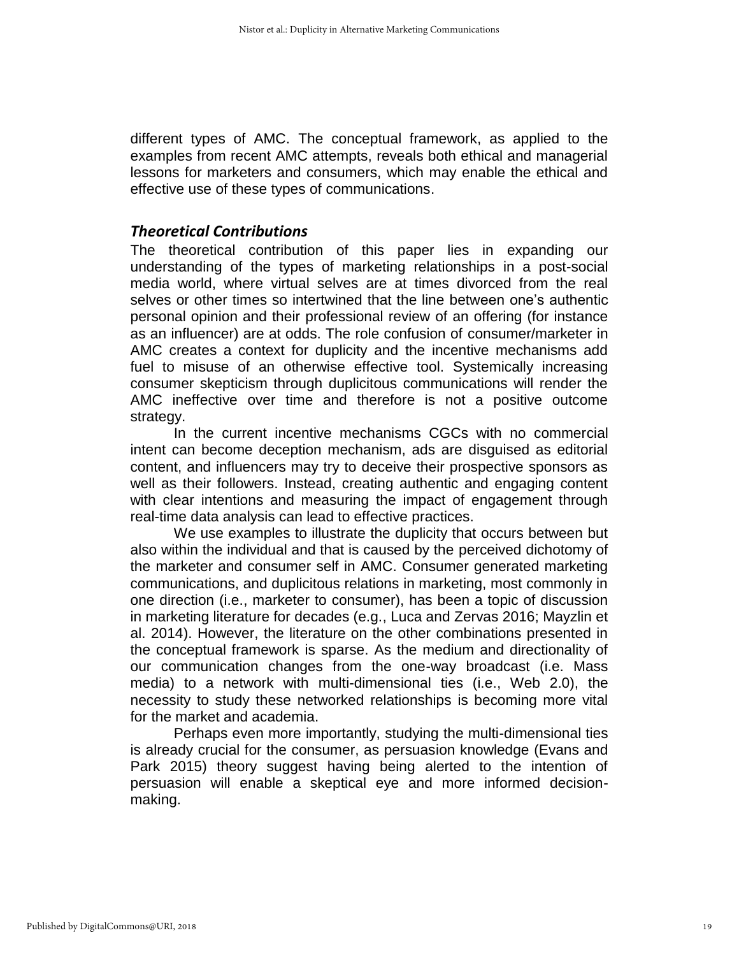different types of AMC. The conceptual framework, as applied to the examples from recent AMC attempts, reveals both ethical and managerial lessons for marketers and consumers, which may enable the ethical and effective use of these types of communications.

#### *Theoretical Contributions*

The theoretical contribution of this paper lies in expanding our understanding of the types of marketing relationships in a post-social media world, where virtual selves are at times divorced from the real selves or other times so intertwined that the line between one's authentic personal opinion and their professional review of an offering (for instance as an influencer) are at odds. The role confusion of consumer/marketer in AMC creates a context for duplicity and the incentive mechanisms add fuel to misuse of an otherwise effective tool. Systemically increasing consumer skepticism through duplicitous communications will render the AMC ineffective over time and therefore is not a positive outcome strategy.

In the current incentive mechanisms CGCs with no commercial intent can become deception mechanism, ads are disguised as editorial content, and influencers may try to deceive their prospective sponsors as well as their followers. Instead, creating authentic and engaging content with clear intentions and measuring the impact of engagement through real-time data analysis can lead to effective practices.

We use examples to illustrate the duplicity that occurs between but also within the individual and that is caused by the perceived dichotomy of the marketer and consumer self in AMC. Consumer generated marketing communications, and duplicitous relations in marketing, most commonly in one direction (i.e., marketer to consumer), has been a topic of discussion in marketing literature for decades (e.g., Luca and Zervas 2016; Mayzlin et al. 2014). However, the literature on the other combinations presented in the conceptual framework is sparse. As the medium and directionality of our communication changes from the one-way broadcast (i.e. Mass media) to a network with multi-dimensional ties (i.e., Web 2.0), the necessity to study these networked relationships is becoming more vital for the market and academia.

Perhaps even more importantly, studying the multi-dimensional ties is already crucial for the consumer, as persuasion knowledge (Evans and Park 2015) theory suggest having being alerted to the intention of persuasion will enable a skeptical eye and more informed decisionmaking.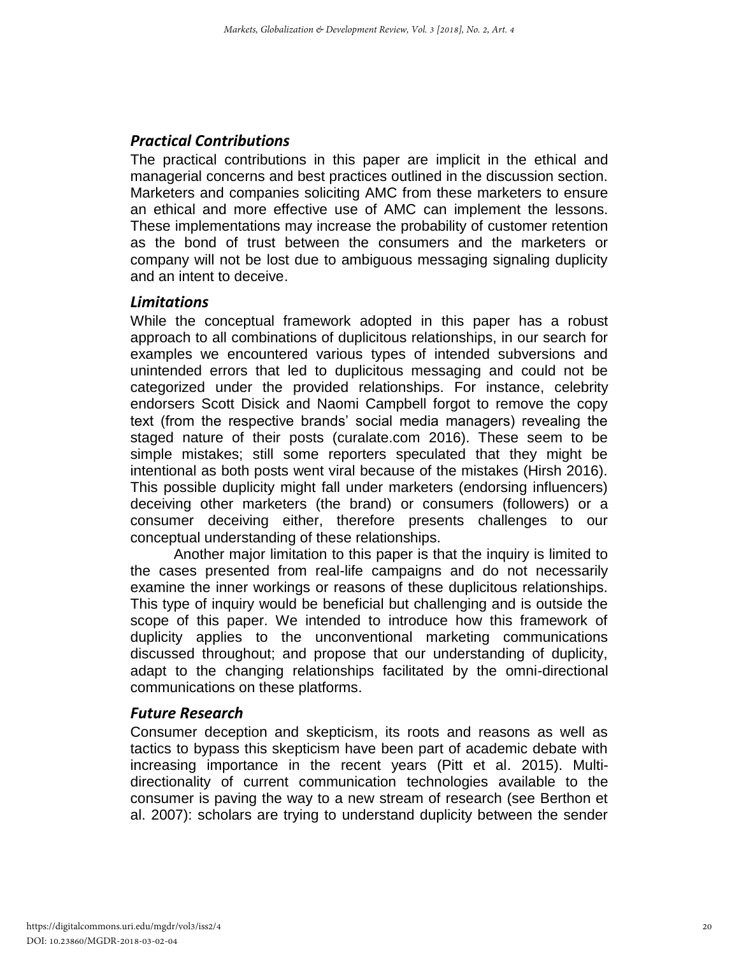## *Practical Contributions*

The practical contributions in this paper are implicit in the ethical and managerial concerns and best practices outlined in the discussion section. Marketers and companies soliciting AMC from these marketers to ensure an ethical and more effective use of AMC can implement the lessons. These implementations may increase the probability of customer retention as the bond of trust between the consumers and the marketers or company will not be lost due to ambiguous messaging signaling duplicity and an intent to deceive.

#### *Limitations*

While the conceptual framework adopted in this paper has a robust approach to all combinations of duplicitous relationships, in our search for examples we encountered various types of intended subversions and unintended errors that led to duplicitous messaging and could not be categorized under the provided relationships. For instance, celebrity endorsers Scott Disick and Naomi Campbell forgot to remove the copy text (from the respective brands' social media managers) revealing the staged nature of their posts (curalate.com 2016). These seem to be simple mistakes; still some reporters speculated that they might be intentional as both posts went viral because of the mistakes (Hirsh 2016). This possible duplicity might fall under marketers (endorsing influencers) deceiving other marketers (the brand) or consumers (followers) or a consumer deceiving either, therefore presents challenges to our conceptual understanding of these relationships.

Another major limitation to this paper is that the inquiry is limited to the cases presented from real-life campaigns and do not necessarily examine the inner workings or reasons of these duplicitous relationships. This type of inquiry would be beneficial but challenging and is outside the scope of this paper. We intended to introduce how this framework of duplicity applies to the unconventional marketing communications discussed throughout; and propose that our understanding of duplicity, adapt to the changing relationships facilitated by the omni-directional communications on these platforms.

## *Future Research*

Consumer deception and skepticism, its roots and reasons as well as tactics to bypass this skepticism have been part of academic debate with increasing importance in the recent years (Pitt et al. 2015). Multidirectionality of current communication technologies available to the consumer is paving the way to a new stream of research (see Berthon et al. 2007): scholars are trying to understand duplicity between the sender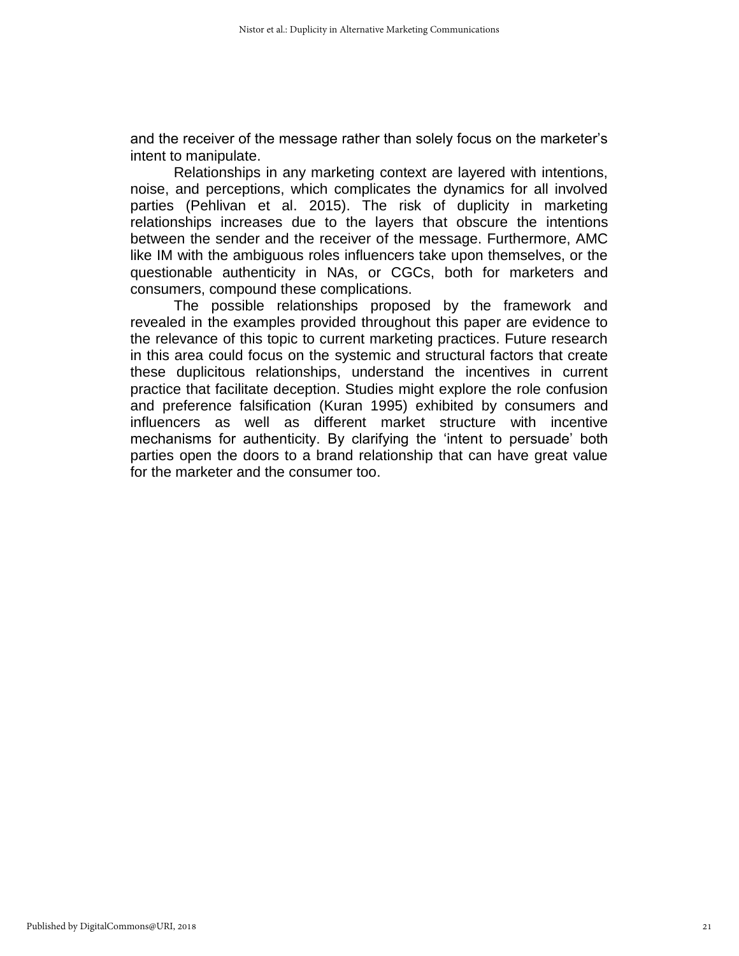and the receiver of the message rather than solely focus on the marketer's intent to manipulate.

Relationships in any marketing context are layered with intentions, noise, and perceptions, which complicates the dynamics for all involved parties (Pehlivan et al. 2015). The risk of duplicity in marketing relationships increases due to the layers that obscure the intentions between the sender and the receiver of the message. Furthermore, AMC like IM with the ambiguous roles influencers take upon themselves, or the questionable authenticity in NAs, or CGCs, both for marketers and consumers, compound these complications.

The possible relationships proposed by the framework and revealed in the examples provided throughout this paper are evidence to the relevance of this topic to current marketing practices. Future research in this area could focus on the systemic and structural factors that create these duplicitous relationships, understand the incentives in current practice that facilitate deception. Studies might explore the role confusion and preference falsification (Kuran 1995) exhibited by consumers and influencers as well as different market structure with incentive mechanisms for authenticity. By clarifying the 'intent to persuade' both parties open the doors to a brand relationship that can have great value for the marketer and the consumer too.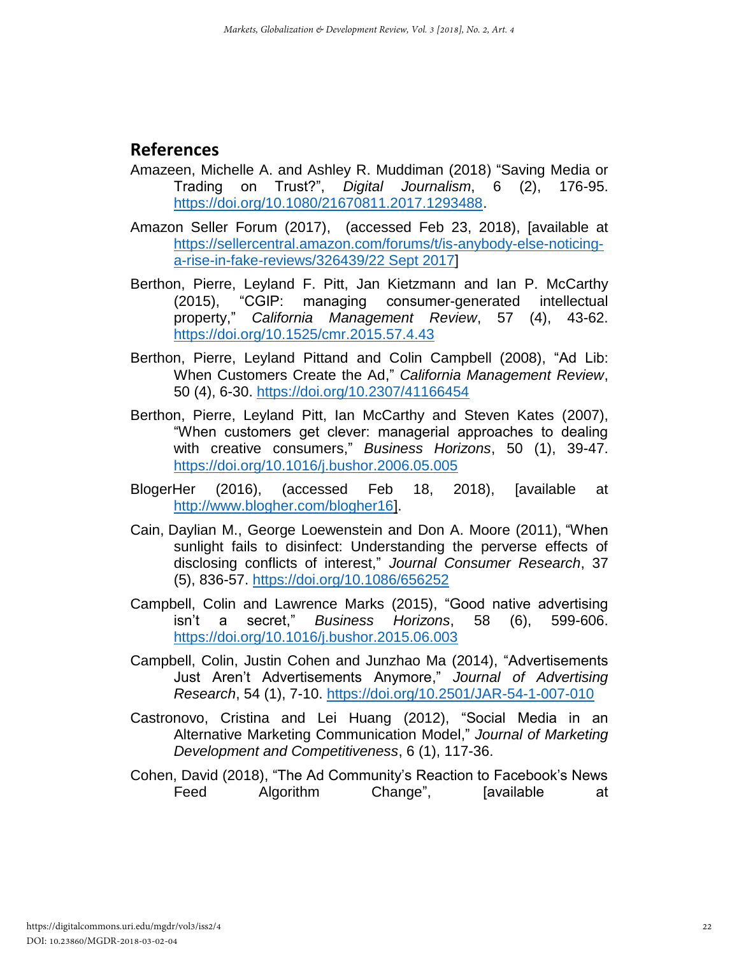# **References**

- Amazeen, Michelle A. and Ashley R. Muddiman (2018) "Saving Media or Trading on Trust?", *Digital Journalism*, 6 (2), 176-95. [https://doi.org/10.1080/21670811.2017.1293488.](https://doi.org/10.1080/21670811.2017.1293488)
- Amazon Seller Forum (2017), (accessed Feb 23, 2018), [available at [https://sellercentral.amazon.com/forums/t/is-anybody-else-noticing](https://sellercentral.amazon.com/forums/t/is-anybody-else-noticing-a-rise-in-fake-reviews/326439/22%20Sept%202017)[a-rise-in-fake-reviews/326439/22 Sept 2017\]](https://sellercentral.amazon.com/forums/t/is-anybody-else-noticing-a-rise-in-fake-reviews/326439/22%20Sept%202017)
- Berthon, Pierre, Leyland F. Pitt, Jan Kietzmann and Ian P. McCarthy (2015), "CGIP: managing consumer-generated intellectual property," *California Management Review*, 57 (4), 43-62. <https://doi.org/10.1525/cmr.2015.57.4.43>
- Berthon, Pierre, Leyland Pittand and Colin Campbell (2008), "Ad Lib: When Customers Create the Ad," *California Management Review*, 50 (4), 6-30. <https://doi.org/10.2307/41166454>
- Berthon, Pierre, Leyland Pitt, Ian McCarthy and Steven Kates (2007), "When customers get clever: managerial approaches to dealing with creative consumers," *Business Horizons*, 50 (1), 39-47. <https://doi.org/10.1016/j.bushor.2006.05.005>
- BlogerHer (2016), (accessed Feb 18, 2018), [available at [http://www.blogher.com/blogher16\]](http://www.blogher.com/blogher16).
- Cain, Daylian M., George Loewenstein and Don A. Moore (2011), "When sunlight fails to disinfect: Understanding the perverse effects of disclosing conflicts of interest," *Journal Consumer Research*, 37 (5), 836-57. <https://doi.org/10.1086/656252>
- Campbell, Colin and Lawrence Marks (2015), "Good native advertising isn't a secret," *Business Horizons*, 58 (6), 599-606. <https://doi.org/10.1016/j.bushor.2015.06.003>
- Campbell, Colin, Justin Cohen and Junzhao Ma (2014), "Advertisements Just Aren't Advertisements Anymore," *Journal of Advertising Research*, 54 (1), 7-10. <https://doi.org/10.2501/JAR-54-1-007-010>
- Castronovo, Cristina and Lei Huang (2012), "Social Media in an Alternative Marketing Communication Model," *Journal of Marketing Development and Competitiveness*, 6 (1), 117-36.
- Cohen, David (2018), "The Ad Community's Reaction to Facebook's News Feed Algorithm Change", [available at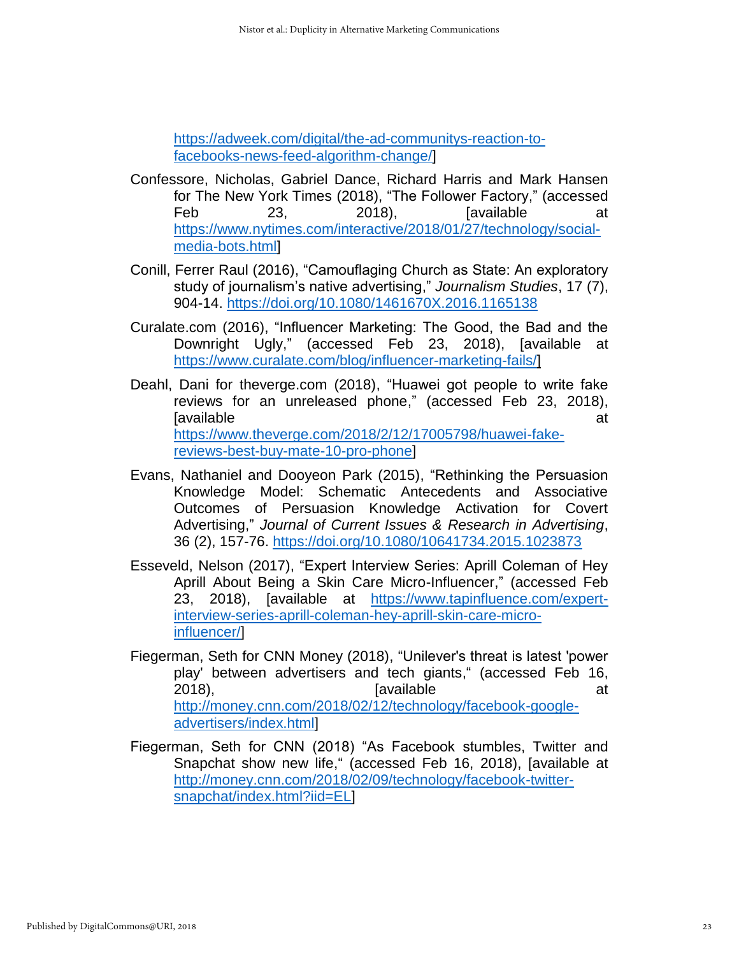[https://adweek.com/digital/the-ad-communitys-reaction-to](https://adweek.com/digital/the-ad-communitys-reaction-to-facebooks-news-feed-algorithm-change/)[facebooks-news-feed-algorithm-change/\]](https://adweek.com/digital/the-ad-communitys-reaction-to-facebooks-news-feed-algorithm-change/)

- Confessore, Nicholas, Gabriel Dance, Richard Harris and Mark Hansen for The New York Times (2018), "The Follower Factory," (accessed Feb 23, 2018), [available at [https://www.nytimes.com/interactive/2018/01/27/technology/social](https://www.nytimes.com/interactive/2018/01/27/technology/social-media-bots.html)[media-bots.html\]](https://www.nytimes.com/interactive/2018/01/27/technology/social-media-bots.html)
- Conill, Ferrer Raul (2016), "Camouflaging Church as State: An exploratory study of journalism's native advertising," *Journalism Studies*, 17 (7), 904-14. <https://doi.org/10.1080/1461670X.2016.1165138>
- Curalate.com (2016), "Influencer Marketing: The Good, the Bad and the Downright Ugly," (accessed Feb 23, 2018), [available at [https://www.curalate.com/blog/influencer-marketing-fails/\]](https://www.curalate.com/blog/influencer-marketing-fails/)
- Deahl, Dani for theverge.com (2018), "Huawei got people to write fake reviews for an unreleased phone," (accessed Feb 23, 2018), **Iavailable** at the set of the set of the set of the set of the set of the set of the set of the set of the set o [https://www.theverge.com/2018/2/12/17005798/huawei-fake](https://www.theverge.com/2018/2/12/17005798/huawei-fake-reviews-best-buy-mate-10-pro-phone)[reviews-best-buy-mate-10-pro-phone\]](https://www.theverge.com/2018/2/12/17005798/huawei-fake-reviews-best-buy-mate-10-pro-phone)
- Evans, Nathaniel and Dooyeon Park (2015), "Rethinking the Persuasion Knowledge Model: Schematic Antecedents and Associative Outcomes of Persuasion Knowledge Activation for Covert Advertising," *Journal of Current Issues & Research in Advertising*, 36 (2), 157-76.<https://doi.org/10.1080/10641734.2015.1023873>
- Esseveld, Nelson (2017), "Expert Interview Series: Aprill Coleman of Hey Aprill About Being a Skin Care Micro-Influencer," (accessed Feb 23, 2018), [available at [https://www.tapinfluence.com/expert](https://www.tapinfluence.com/expert-interview-series-aprill-coleman-hey-aprill-skin-care-micro-influencer/)[interview-series-aprill-coleman-hey-aprill-skin-care-micro](https://www.tapinfluence.com/expert-interview-series-aprill-coleman-hey-aprill-skin-care-micro-influencer/)[influencer/\]](https://www.tapinfluence.com/expert-interview-series-aprill-coleman-hey-aprill-skin-care-micro-influencer/)
- Fiegerman, Seth for CNN Money (2018), "Unilever's threat is latest 'power play' between advertisers and tech giants," (accessed Feb 16, 2018), and a controlled a controlled a controlled a controlled a controlled a controlled a controlled a controlled a controlled a controlled a controlled a controlled a controlled a controlled a controlled a controlled a c [http://money.cnn.com/2018/02/12/technology/facebook-google](http://money.cnn.com/2018/02/12/technology/facebook-google-advertisers/index.html)[advertisers/index.html\]](http://money.cnn.com/2018/02/12/technology/facebook-google-advertisers/index.html)
- Fiegerman, Seth for CNN (2018) "As Facebook stumbles, Twitter and Snapchat show new life," (accessed Feb 16, 2018), [available at [http://money.cnn.com/2018/02/09/technology/facebook-twitter](http://money.cnn.com/2018/02/09/technology/facebook-twitter-snapchat/index.html?iid=EL)[snapchat/index.html?iid=EL\]](http://money.cnn.com/2018/02/09/technology/facebook-twitter-snapchat/index.html?iid=EL)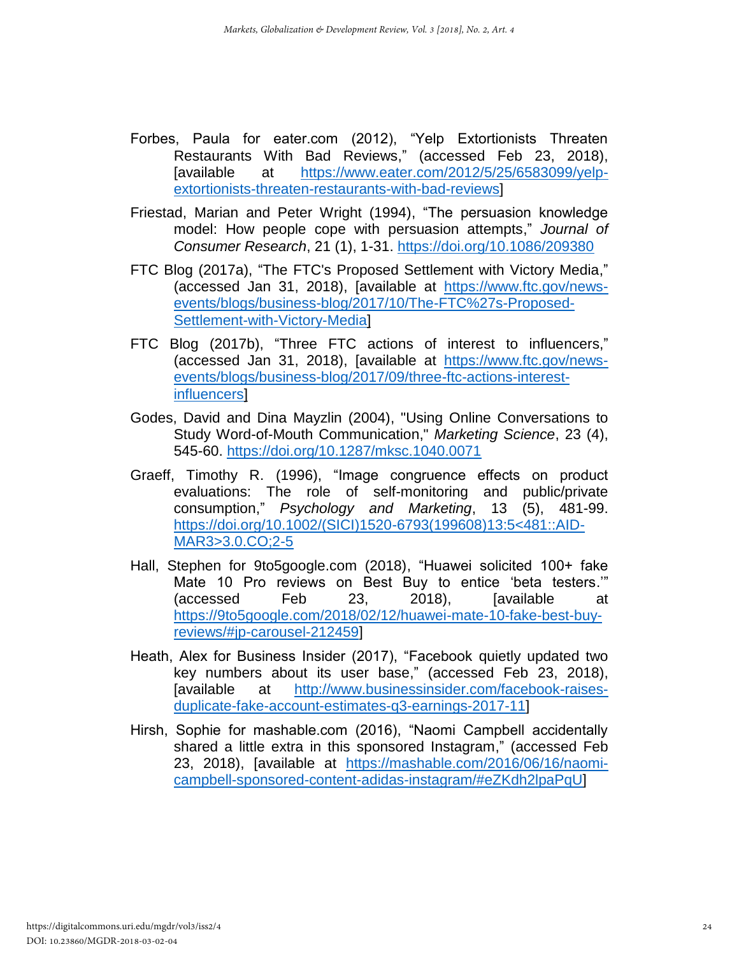- Forbes, Paula for eater.com (2012), "Yelp Extortionists Threaten Restaurants With Bad Reviews," (accessed Feb 23, 2018), [available at [https://www.eater.com/2012/5/25/6583099/yelp](https://www.eater.com/2012/5/25/6583099/yelp-extortionists-threaten-restaurants-with-bad-reviews)[extortionists-threaten-restaurants-with-bad-reviews\]](https://www.eater.com/2012/5/25/6583099/yelp-extortionists-threaten-restaurants-with-bad-reviews)
- Friestad, Marian and Peter Wright (1994), "The persuasion knowledge model: How people cope with persuasion attempts," *Journal of Consumer Research*, 21 (1), 1-31. <https://doi.org/10.1086/209380>
- FTC Blog (2017a), "The FTC's Proposed Settlement with Victory Media," (accessed Jan 31, 2018), [available at [https://www.ftc.gov/news](https://www.ftc.gov/news-events/blogs/business-blog/2017/10/The-FTC%27s-Proposed-Settlement-with-Victory-Media)[events/blogs/business-blog/2017/10/The-FTC%27s-Proposed-](https://www.ftc.gov/news-events/blogs/business-blog/2017/10/The-FTC%27s-Proposed-Settlement-with-Victory-Media)[Settlement-with-Victory-Media\]](https://www.ftc.gov/news-events/blogs/business-blog/2017/10/The-FTC%27s-Proposed-Settlement-with-Victory-Media)
- FTC Blog (2017b), "Three FTC actions of interest to influencers," (accessed Jan 31, 2018), [available at [https://www.ftc.gov/news](https://www.ftc.gov/news-events/blogs/business-blog/2017/09/three-ftc-actions-interest-influencers)[events/blogs/business-blog/2017/09/three-ftc-actions-interest](https://www.ftc.gov/news-events/blogs/business-blog/2017/09/three-ftc-actions-interest-influencers)[influencers\]](https://www.ftc.gov/news-events/blogs/business-blog/2017/09/three-ftc-actions-interest-influencers)
- Godes, David and Dina Mayzlin (2004), "Using Online Conversations to Study Word-of-Mouth Communication," *Marketing Science*, 23 (4), 545-60. <https://doi.org/10.1287/mksc.1040.0071>
- Graeff, Timothy R. (1996), "Image congruence effects on product evaluations: The role of self-monitoring and public/private consumption," *Psychology and Marketing*, 13 (5), 481-99. [https://doi.org/10.1002/\(SICI\)1520-6793\(199608\)13:5<481::AID-](https://doi.org/10.1002/(SICI)1520-6793(199608)13:5%3c481::AID-MAR3%3e3.0.CO;2-5)[MAR3>3.0.CO;2-5](https://doi.org/10.1002/(SICI)1520-6793(199608)13:5%3c481::AID-MAR3%3e3.0.CO;2-5)
- Hall, Stephen for 9to5google.com (2018), "Huawei solicited 100+ fake Mate 10 Pro reviews on Best Buy to entice 'beta testers.'" (accessed Feb 23, 2018), [available at [https://9to5google.com/2018/02/12/huawei-mate-10-fake-best-buy](https://9to5google.com/2018/02/12/huawei-mate-10-fake-best-buy-reviews/#jp-carousel-212459)[reviews/#jp-carousel-212459\]](https://9to5google.com/2018/02/12/huawei-mate-10-fake-best-buy-reviews/#jp-carousel-212459)
- Heath, Alex for Business Insider (2017), "Facebook quietly updated two key numbers about its user base," (accessed Feb 23, 2018), [available at [http://www.businessinsider.com/facebook-raises](http://www.businessinsider.com/facebook-raises-duplicate-fake-account-estimates-q3-earnings-2017-11)[duplicate-fake-account-estimates-q3-earnings-2017-11\]](http://www.businessinsider.com/facebook-raises-duplicate-fake-account-estimates-q3-earnings-2017-11)
- Hirsh, Sophie for mashable.com (2016), "Naomi Campbell accidentally shared a little extra in this sponsored Instagram," (accessed Feb 23, 2018), [available at [https://mashable.com/2016/06/16/naomi](https://mashable.com/2016/06/16/naomi-campbell-sponsored-content-adidas-instagram/#eZKdh2lpaPqU)[campbell-sponsored-content-adidas-instagram/#eZKdh2lpaPqU\]](https://mashable.com/2016/06/16/naomi-campbell-sponsored-content-adidas-instagram/#eZKdh2lpaPqU)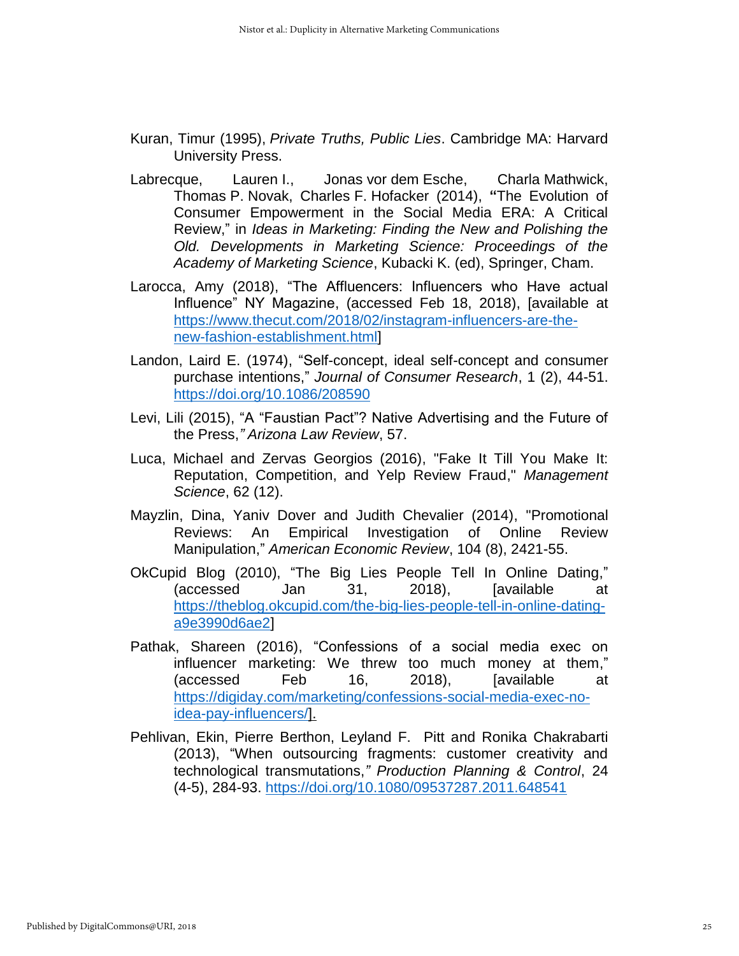- Kuran, Timur (1995), *Private Truths, Public Lies*. Cambridge MA: Harvard University Press.
- Labrecque, Lauren I., Jonas vor dem Esche, Charla Mathwick, Thomas P. Novak, Charles F. Hofacker (2014), **"**The Evolution of Consumer Empowerment in the Social Media ERA: A Critical Review," in *Ideas in Marketing: Finding the New and Polishing the Old. Developments in Marketing Science: Proceedings of the Academy of Marketing Science*, Kubacki K. (ed), Springer, Cham.
- Larocca, Amy (2018), "The Affluencers: Influencers who Have actual Influence" NY Magazine, (accessed Feb 18, 2018), [available at [https://www.thecut.com/2018/02/instagram-influencers-are-the](https://www.thecut.com/2018/02/instagram-influencers-are-the-new-fashion-establishment.html)[new-fashion-establishment.html\]](https://www.thecut.com/2018/02/instagram-influencers-are-the-new-fashion-establishment.html)
- Landon, Laird E. (1974), "Self-concept, ideal self-concept and consumer purchase intentions," *Journal of Consumer Research*, 1 (2), 44-51. <https://doi.org/10.1086/208590>
- Levi, Lili (2015), "A "Faustian Pact"? Native Advertising and the Future of the Press,*" Arizona Law Review*, 57.
- Luca, Michael and Zervas Georgios (2016), "Fake It Till You Make It: Reputation, Competition, and Yelp Review Fraud," *Management Science*, 62 (12).
- Mayzlin, Dina, Yaniv Dover and Judith Chevalier (2014), "Promotional Reviews: An Empirical Investigation of Online Review Manipulation," *American Economic Review*, 104 (8), 2421-55.
- OkCupid Blog (2010), "The Big Lies People Tell In Online Dating," (accessed Jan 31, 2018), [available at [https://theblog.okcupid.com/the-big-lies-people-tell-in-online-dating](https://theblog.okcupid.com/the-big-lies-people-tell-in-online-dating-a9e3990d6ae2)[a9e3990d6ae2\]](https://theblog.okcupid.com/the-big-lies-people-tell-in-online-dating-a9e3990d6ae2)
- Pathak, Shareen (2016), "Confessions of a social media exec on influencer marketing: We threw too much money at them," (accessed Feb 16, 2018), [available at [https://digiday.com/marketing/confessions-social-media-exec-no](https://digiday.com/marketing/confessions-social-media-exec-no-idea-pay-influencers/)[idea-pay-influencers/\]](https://digiday.com/marketing/confessions-social-media-exec-no-idea-pay-influencers/).
- Pehlivan, Ekin, Pierre Berthon, Leyland F. Pitt and Ronika Chakrabarti (2013), "When outsourcing fragments: customer creativity and technological transmutations,*" Production Planning & Control*, 24 (4-5), 284-93. <https://doi.org/10.1080/09537287.2011.648541>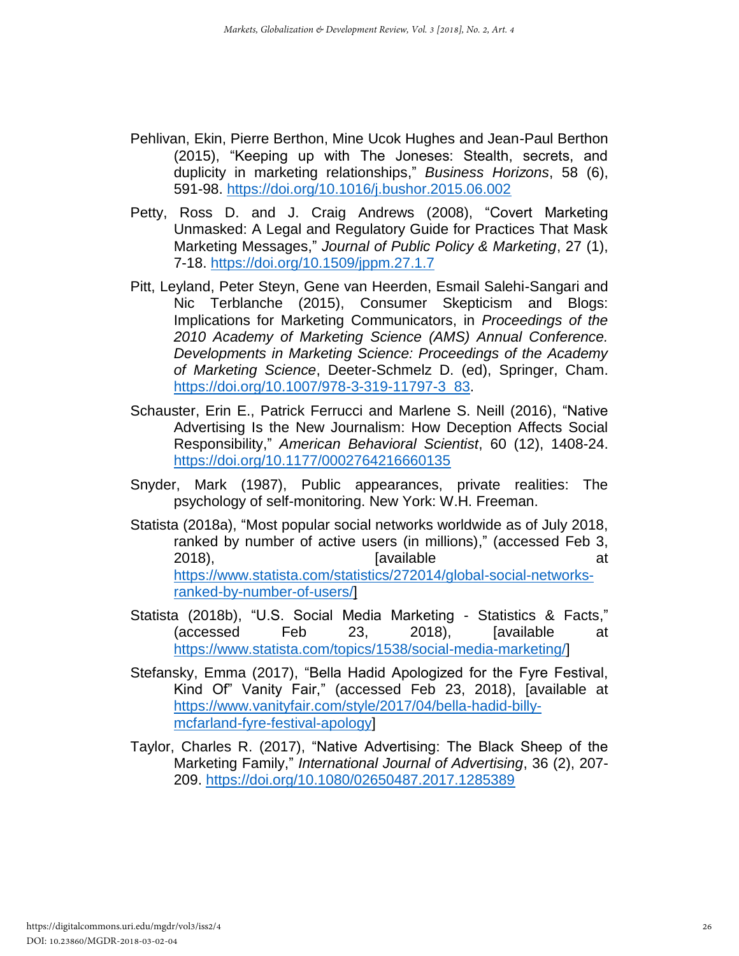- Pehlivan, Ekin, Pierre Berthon, Mine Ucok Hughes and Jean-Paul Berthon (2015), "Keeping up with The Joneses: Stealth, secrets, and duplicity in marketing relationships," *Business Horizons*, 58 (6), 591-98. <https://doi.org/10.1016/j.bushor.2015.06.002>
- Petty, Ross D. and J. Craig Andrews (2008), "Covert Marketing Unmasked: A Legal and Regulatory Guide for Practices That Mask Marketing Messages," *Journal of Public Policy & Marketing*, 27 (1), 7-18. <https://doi.org/10.1509/jppm.27.1.7>
- Pitt, Leyland, Peter Steyn, Gene van Heerden, Esmail Salehi-Sangari and Nic Terblanche (2015), Consumer Skepticism and Blogs: Implications for Marketing Communicators, in *Proceedings of the 2010 Academy of Marketing Science (AMS) Annual Conference. Developments in Marketing Science: Proceedings of the Academy of Marketing Science*, Deeter-Schmelz D. (ed), Springer, Cham. [https://doi.org/10.1007/978-3-319-11797-3\\_83.](https://doi.org/10.1007/978-3-319-11797-3_83)
- Schauster, Erin E., Patrick Ferrucci and Marlene S. Neill (2016), "Native Advertising Is the New Journalism: How Deception Affects Social Responsibility," *American Behavioral Scientist*, 60 (12), 1408-24. <https://doi.org/10.1177/0002764216660135>
- Snyder, Mark (1987), Public appearances, private realities: The psychology of self-monitoring. New York: W.H. Freeman.
- Statista (2018a), "Most popular social networks worldwide as of July 2018, ranked by number of active users (in millions)," (accessed Feb 3, 2018), and a controlled a controlled a controlled a controlled a controlled a controlled a controlled a controlled a controlled a controlled a controlled a controlled a controlled a controlled a controlled a controlled a c [https://www.statista.com/statistics/272014/global-social-networks](https://www.statista.com/statistics/272014/global-social-networks-ranked-by-number-of-users/)[ranked-by-number-of-users/\]](https://www.statista.com/statistics/272014/global-social-networks-ranked-by-number-of-users/)
- Statista (2018b), "U.S. Social Media Marketing Statistics & Facts," (accessed Feb 23, 2018), [available at [https://www.statista.com/topics/1538/social-media-marketing/\]](https://www.statista.com/topics/1538/social-media-marketing/)
- Stefansky, Emma (2017), "Bella Hadid Apologized for the Fyre Festival, Kind Of" Vanity Fair," (accessed Feb 23, 2018), [available at [https://www.vanityfair.com/style/2017/04/bella-hadid-billy](https://www.vanityfair.com/style/2017/04/bella-hadid-billy-mcfarland-fyre-festival-apology)[mcfarland-fyre-festival-apology\]](https://www.vanityfair.com/style/2017/04/bella-hadid-billy-mcfarland-fyre-festival-apology)
- Taylor, Charles R. (2017), "Native Advertising: The Black Sheep of the Marketing Family," *International Journal of Advertising*, 36 (2), 207- 209. <https://doi.org/10.1080/02650487.2017.1285389>